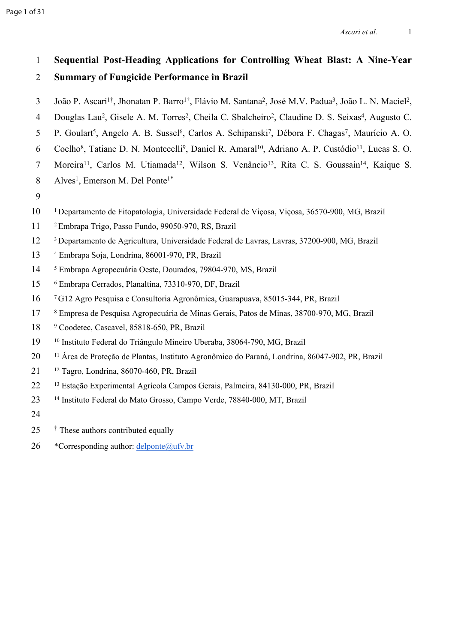# 1 **Sequential Post-Heading Applications for Controlling Wheat Blast: A Nine-Year**  2 **Summary of Fungicide Performance in Brazil**

- 3 João P. Ascari<sup>1†</sup>, Jhonatan P. Barro<sup>1†</sup>, Flávio M. Santana<sup>2</sup>, José M.V. Padua<sup>3</sup>, João L. N. Maciel<sup>2</sup>,
- 4 Douglas Lau<sup>2</sup>, Gisele A. M. Torres<sup>2</sup>, Cheila C. Sbalcheiro<sup>2</sup>, Claudine D. S. Seixas<sup>4</sup>, Augusto C.
- 5 P. Goulart<sup>5</sup>, Angelo A. B. Sussel<sup>6</sup>, Carlos A. Schipanski<sup>7</sup>, Débora F. Chagas<sup>7</sup>, Maurício A. O.
- 6 Coelho<sup>8</sup>, Tatiane D. N. Montecelli<sup>9</sup>, Daniel R. Amaral<sup>10</sup>, Adriano A. P. Custódio<sup>11</sup>, Lucas S. O.
- 7 Moreira<sup>11</sup>, Carlos M. Utiamada<sup>12</sup>, Wilson S. Venâncio<sup>13</sup>, Rita C. S. Goussain<sup>14</sup>, Kaique S.
- 8 Alves<sup>1</sup>, Emerson M. Del Ponte<sup>1\*</sup>
- 9
- 10 <sup>1</sup>Departamento de Fitopatologia, Universidade Federal de Viçosa, Viçosa, 36570-900, MG, Brazil
- 11 <sup>2</sup>Embrapa Trigo, Passo Fundo, 99050-970, RS, Brazil
- 12 <sup>3</sup>Departamento de Agricultura, Universidade Federal de Lavras, Lavras, 37200-900, MG, Brazil
- 13 Embrapa Soja, Londrina, 86001-970, PR, Brazil
- 14 Embrapa Agropecuária Oeste, Dourados, 79804-970, MS, Brazil
- 15 Embrapa Cerrados, Planaltina, 73310-970, DF, Brazil
- 16 <sup>7</sup>G12 Agro Pesquisa e Consultoria Agronômica, Guarapuava, 85015-344, PR, Brazil
- 17 Empresa de Pesquisa Agropecuária de Minas Gerais, Patos de Minas, 38700-970, MG, Brazil
- 18 <sup>9</sup> Coodetec, Cascavel, 85818-650, PR, Brazil
- 19 <sup>10</sup> Instituto Federal do Triângulo Mineiro Uberaba, 38064-790, MG, Brazil
- 20 <sup>11</sup> Área de Proteção de Plantas, Instituto Agronômico do Paraná, Londrina, 86047-902, PR, Brazil
- 21 <sup>12</sup> Tagro, Londrina, 86070-460, PR, Brazil
- 22 <sup>13</sup> Estação Experimental Agrícola Campos Gerais, Palmeira, 84130-000, PR, Brazil
- 23 <sup>14</sup> Instituto Federal do Mato Grosso, Campo Verde, 78840-000, MT, Brazil
- 24
- 25 †  $\dagger$  These authors contributed equally
- 26 \*Corresponding author:  $\frac{deloute(a)ufv.br}{26}$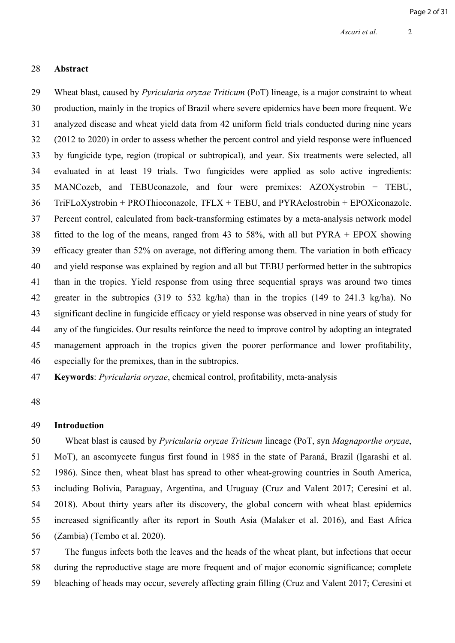#### 28 **Abstract**

29 Wheat blast, caused by *Pyricularia oryzae Triticum* (PoT) lineage, is a major constraint to wheat 30 production, mainly in the tropics of Brazil where severe epidemics have been more frequent. We 31 analyzed disease and wheat yield data from 42 uniform field trials conducted during nine years 32 (2012 to 2020) in order to assess whether the percent control and yield response were influenced 33 by fungicide type, region (tropical or subtropical), and year. Six treatments were selected, all 34 evaluated in at least 19 trials. Two fungicides were applied as solo active ingredients: 35 MANCozeb, and TEBUconazole, and four were premixes: AZOXystrobin + TEBU, 36 TriFLoXystrobin + PROThioconazole, TFLX + TEBU, and PYRAclostrobin + EPOXiconazole. 37 Percent control, calculated from back-transforming estimates by a meta-analysis network model 38 fitted to the log of the means, ranged from 43 to 58%, with all but PYRA + EPOX showing 39 efficacy greater than 52% on average, not differing among them. The variation in both efficacy 40 and yield response was explained by region and all but TEBU performed better in the subtropics 41 than in the tropics. Yield response from using three sequential sprays was around two times 42 greater in the subtropics (319 to 532 kg/ha) than in the tropics (149 to 241.3 kg/ha). No 43 significant decline in fungicide efficacy or yield response was observed in nine years of study for 44 any of the fungicides. Our results reinforce the need to improve control by adopting an integrated 45 management approach in the tropics given the poorer performance and lower profitability, 46 especially for the premixes, than in the subtropics.

47 **Keywords**: *Pyricularia oryzae*, chemical control, profitability, meta-analysis

48

#### 49 **Introduction**

50 Wheat blast is caused by *Pyricularia oryzae Triticum* lineage (PoT, syn *Magnaporthe oryzae*, 51 MoT), an ascomycete fungus first found in 1985 in the state of Paraná, Brazil [\(Igarashi et al.](https://www.zotero.org/google-docs/?MGydJz)  52 [1986\).](https://www.zotero.org/google-docs/?MGydJz) Since then, wheat blast has spread to other wheat-growing countries in South America, 53 including Bolivia, Paraguay, Argentina, and Uruguay [\(Cruz and Valent 2017; Ceresini et al.](https://www.zotero.org/google-docs/?HA2dRj)  54 [2018\).](https://www.zotero.org/google-docs/?HA2dRj) About thirty years after its discovery, the global concern with wheat blast epidemics 55 increased significantly after its report in South Asia [\(Malaker et al. 2016\)](https://www.zotero.org/google-docs/?UnVZlX), and East Africa 56 (Zambia) [\(Tembo et al. 2020\).](https://www.zotero.org/google-docs/?I0qZGc)

57 The fungus infects both the leaves and the heads of the wheat plant, but infections that occur 58 during the reproductive stage are more frequent and of major economic significance; complete 59 bleaching of heads may occur, severely affecting grain filling [\(Cruz and Valent 2017; Ceresini et](https://www.zotero.org/google-docs/?dtiWBx)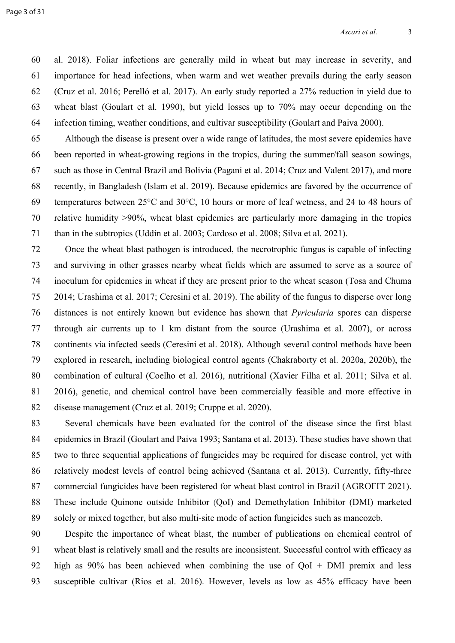60 [al. 2018\).](https://www.zotero.org/google-docs/?dtiWBx) Foliar infections are generally mild in wheat but may increase in severity, and 61 importance for head infections, when warm and wet weather prevails during the early season 62 [\(Cruz et al. 2016; Perelló et al. 2017\)](https://www.zotero.org/google-docs/?vYCOLJ). An early study reported a 27% reduction in yield due to 63 wheat blast [\(Goulart et al. 1990\)](https://www.zotero.org/google-docs/?2ZchwF), but yield losses up to 70% may occur depending on the 64 infection timing, weather conditions, and cultivar susceptibility [\(Goulart and Paiva 2000\)](https://www.zotero.org/google-docs/?JtIkj2).

65 Although the disease is present over a wide range of latitudes, the most severe epidemics have 66 been reported in wheat-growing regions in the tropics, during the summer/fall season sowings, 67 such as those in Central Brazil and Bolivia [\(Pagani et al. 2014; Cruz and Valent 2017\)](https://www.zotero.org/google-docs/?5g5qrj), and more 68 recently, in Bangladesh [\(Islam et al. 2019\)](https://www.zotero.org/google-docs/?qP5Ztc). Because epidemics are favored by the occurrence of 69 temperatures between 25°C and 30°C, 10 hours or more of leaf wetness, and 24 to 48 hours of 70 relative humidity >90%, wheat blast epidemics are particularly more damaging in the tropics 71 than in the subtropics (Uddin et al. 2003; Cardoso et al. 2008; Silva et al. 2021).

72 Once the wheat blast pathogen is introduced, the necrotrophic fungus is capable of infecting 73 and surviving in other grasses nearby wheat fields which are assumed to serve as a source of 74 inoculum for epidemics in wheat if they are present prior to the wheat season [\(Tosa and Chuma](https://www.zotero.org/google-docs/?KlmAvr)  75 [2014; Urashima et al. 2017; Ceresini et al. 2019\).](https://www.zotero.org/google-docs/?KlmAvr) The ability of the fungus to disperse over long 76 distances is not entirely known but evidence has shown that *Pyricularia* spores can disperse 77 through air currents up to 1 km distant from the source [\(Urashima et al. 2007\),](https://www.zotero.org/google-docs/?E4gzRk) or across 78 continents via infected seeds [\(Ceresini et al. 2018\).](https://www.zotero.org/google-docs/?r2fxaD) Although several control methods have been 79 explored in research, including biological control agents [\(Chakraborty et al. 2020a, 2020b\)](https://www.zotero.org/google-docs/?uTvVVF), the 80 combination of cultural [\(Coelho et al. 2016\)](https://www.zotero.org/google-docs/?VxJ3p2), nutritional (Xavier Filha et al. 2011; Silva et al. 81 2016), genetic, and chemical control have been commercially feasible and more effective in 82 disease management [\(Cruz et al. 2019; Cruppe et al. 2020\)](https://www.zotero.org/google-docs/?vqZbiu).

83 Several chemicals have been evaluated for the control of the disease since the first blast 84 epidemics in Brazil [\(Goulart and Paiva 1993;](https://www.zotero.org/google-docs/?VeYGpr) [Santana et al. 2013](https://www.zotero.org/google-docs/?9Hde2O)[\).](https://www.zotero.org/google-docs/?VeYGpr) These studies have shown that 85 two to three sequential applications of fungicides may be required for disease control, yet with 86 relatively modest levels of control being achieved [\(Santana et al. 2013\).](https://www.zotero.org/google-docs/?9Hde2O) Currently, fifty-three 87 commercial fungicides have been registered for wheat blast control in Brazil [\(AGROFIT 2021\).](https://www.zotero.org/google-docs/?uaHOzy) 88 These include Quinone outside Inhibitor (QoI) and Demethylation Inhibitor (DMI) marketed 89 solely or mixed together, but also multi-site mode of action fungicides such as mancozeb.

90 Despite the importance of wheat blast, the number of publications on chemical control of 91 wheat blast is relatively small and the results are inconsistent. Successful control with efficacy as 92 high as 90% has been achieved when combining the use of QoI + DMI premix and less 93 susceptible cultivar [\(Rios et al. 2016\)](https://www.zotero.org/google-docs/?FyOCRP). However, levels as low as 45% efficacy have been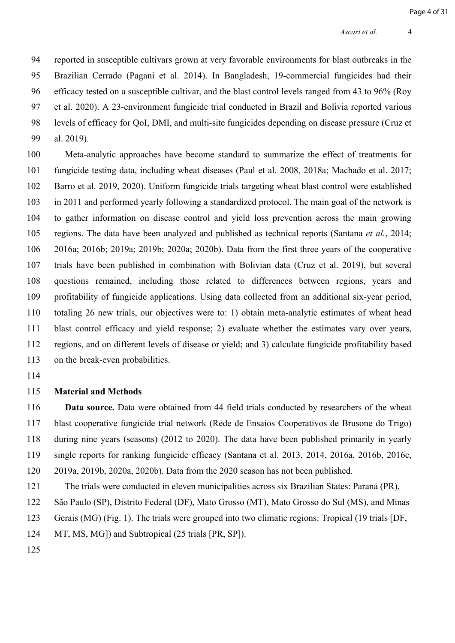94 reported in susceptible cultivars grown at very favorable environments for blast outbreaks in the 95 Brazilian Cerrado [\(Pagani et al. 2014\).](https://www.zotero.org/google-docs/?twCAMj) In Bangladesh, 19-commercial fungicides had their 96 efficacy tested on a susceptible cultivar, and the blast control levels ranged from 43 to 96% [\(Roy](https://www.zotero.org/google-docs/?HzXXG5)  97 [et al. 2020\).](https://www.zotero.org/google-docs/?HzXXG5) A 23-environment fungicide trial conducted in Brazil and Bolivia reported various 98 levels of efficacy for QoI, DMI, and multi-site fungicides depending on disease pressure [\(Cruz et](https://www.zotero.org/google-docs/?FUbe06)  99 [al. 2019\).](https://www.zotero.org/google-docs/?FUbe06)

100 Meta-analytic approaches have become standard to summarize the effect of treatments for 101 fungicide testing data, including wheat diseases [\(Paul et al. 2008, 2018a; Machado et al. 2017;](https://www.zotero.org/google-docs/?inxW6I)  102 [Barro et al. 2019, 2020\).](https://www.zotero.org/google-docs/?inxW6I) Uniform fungicide trials targeting wheat blast control were established 103 in 2011 and performed yearly following a standardized protocol. The main goal of the network is 104 to gather information on disease control and yield loss prevention across the main growing 105 regions. The data have been analyzed and published as technical reports [\(Santana](https://www.zotero.org/google-docs/?i8Pevv) *et al.*, 2014; 106 [2016a; 2016b; 2019a; 2019b; 2020a; 2020b\).](https://www.zotero.org/google-docs/?i8Pevv) Data from the first three years of the cooperative 107 trials have been published in combination with Bolivian data (Cruz et al. 2019), but several 108 questions remained, including those related to differences between regions, years and 109 profitability of fungicide applications. Using data collected from an additional six-year period, 110 totaling 26 new trials, our objectives were to: 1) obtain meta-analytic estimates of wheat head 111 blast control efficacy and yield response; 2) evaluate whether the estimates vary over years, 112 regions, and on different levels of disease or yield; and 3) calculate fungicide profitability based 113 on the break-even probabilities.

114

### 115 **Material and Methods**

116 **Data source.** Data were obtained from 44 field trials conducted by researchers of the wheat 117 blast cooperative fungicide trial network (Rede de Ensaios Cooperativos de Brusone do Trigo) 118 during nine years (seasons) (2012 to 2020). The data have been published primarily in yearly 119 single reports for ranking fungicide efficacy [\(Santana et al. 2013, 2014, 2016a, 2016b, 2016c,](https://www.zotero.org/google-docs/?N3MXek)  120 [2019a, 2019b, 2020a, 2020b\).](https://www.zotero.org/google-docs/?N3MXek) Data from the 2020 season has not been published.

121 The trials were conducted in eleven municipalities across six Brazilian States: Paraná (PR), 122 São Paulo (SP), Distrito Federal (DF), Mato Grosso (MT), Mato Grosso do Sul (MS), and Minas 123 Gerais (MG) (Fig. 1). The trials were grouped into two climatic regions: Tropical (19 trials [DF,

124 MT, MS, MG]) and Subtropical (25 trials [PR, SP]).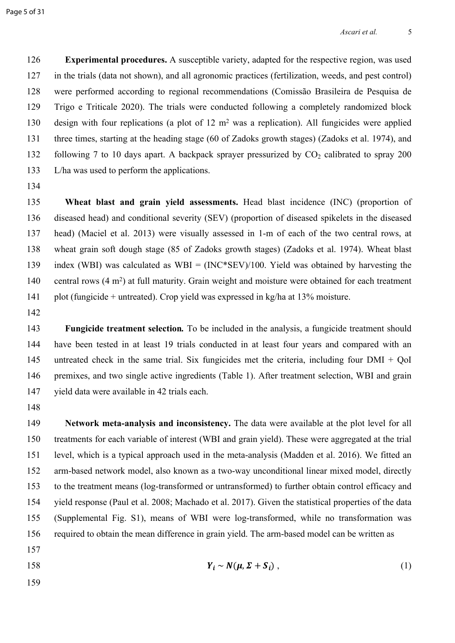126 **Experimental procedures.** A susceptible variety, adapted for the respective region, was used 127 in the trials (data not shown), and all agronomic practices (fertilization, weeds, and pest control) 128 were performed according to regional recommendations [\(Comissão Brasileira de Pesquisa de](https://www.zotero.org/google-docs/?jWntru)  129 [Trigo e Triticale 2020\).](https://www.zotero.org/google-docs/?jWntru) The trials were conducted following a completely randomized block 130 design with four replications (a plot of 12 m<sup>2</sup> was a replication). All fungicides were applied 131 three times, starting at the heading stage (60 of Zadoks growth stages) [\(Zadoks et al. 1974\),](https://www.zotero.org/google-docs/?8K1GrW) and 132 following 7 to 10 days apart. A backpack sprayer pressurized by  $CO<sub>2</sub>$  calibrated to spray 200 133 L/ha was used to perform the applications.

134

135 **Wheat blast and grain yield assessments.** Head blast incidence (INC) (proportion of 136 diseased head) and conditional severity (SEV) (proportion of diseased spikelets in the diseased 137 head) [\(Maciel et al. 2013\)](https://www.zotero.org/google-docs/?NARzJE) were visually assessed in 1-m of each of the two central rows, at 138 wheat grain soft dough stage (85 of Zadoks growth stages) [\(Zadoks et al. 1974\)](https://www.zotero.org/google-docs/?xiF3KE). Wheat blast 139 index (WBI) was calculated as  $WBI = (INC*SEV)/100$ . Yield was obtained by harvesting the 140 central rows (4 m<sup>2</sup>) at full maturity. Grain weight and moisture were obtained for each treatment 141 plot (fungicide + untreated). Crop yield was expressed in kg/ha at 13% moisture.

142

143 **Fungicide treatment selection***.* To be included in the analysis, a fungicide treatment should 144 have been tested in at least 19 trials conducted in at least four years and compared with an 145 untreated check in the same trial. Six fungicides met the criteria, including four DMI + QoI 146 premixes, and two single active ingredients (Table 1). After treatment selection, WBI and grain 147 yield data were available in 42 trials each.

148

149 **Network meta-analysis and inconsistency.** The data were available at the plot level for all 150 treatments for each variable of interest (WBI and grain yield). These were aggregated at the trial 151 level, which is a typical approach used in the meta-analysis [\(Madden et al. 2016\).](https://www.zotero.org/google-docs/?nJek55) We fitted an 152 arm-based network model, also known as a two-way unconditional linear mixed model, directly 153 to the treatment means (log-transformed or untransformed) to further obtain control efficacy and 154 yield response [\(Paul et al. 2008; Machado et al. 2017\)](https://www.zotero.org/google-docs/?ZU0w8M). Given the statistical properties of the data 155 (Supplemental Fig. S1), means of WBI were log-transformed, while no transformation was 156 required to obtain the mean difference in grain yield. The arm-based model can be written as 157

$$
Y_i \sim N(\mu, \Sigma + S_i) \tag{1}
$$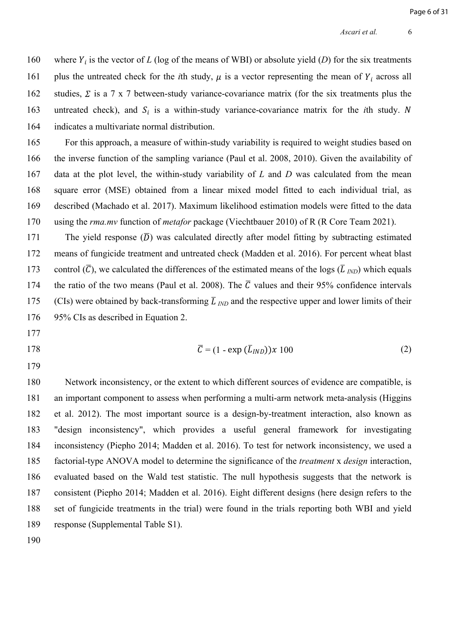160 where  $Y_i$  is the vector of *L* (log of the means of WBI) or absolute yield (*D*) for the six treatments 161 plus the untreated check for the *i*th study,  $\mu$  is a vector representing the mean of  $Y_i$  across all 162 studies,  $\Sigma$  is a 7 x 7 between-study variance-covariance matrix (for the six treatments plus the 163 untreated check), and  $S_i$  is a within-study variance-covariance matrix for the *i*th study. N 164 indicates a multivariate normal distribution.

165 For this approach, a measure of within-study variability is required to weight studies based on 166 the inverse function of the sampling variance [\(Paul et al. 2008, 2010\)](https://www.zotero.org/google-docs/?YdN6MF). Given the availability of 167 data at the plot level, the within-study variability of *L* and *D* was calculated from the mean 168 square error (MSE) obtained from a linear mixed model fitted to each individual trial, as 169 described [\(Machado et al. 2017\).](https://www.zotero.org/google-docs/?OFpwg8) Maximum likelihood estimation models were fitted to the data 170 using the *rma.mv* function of *metafor* package [\(Viechtbauer 2010\)](https://www.zotero.org/google-docs/?cfyfwH) of R [\(R Core Team 2021\).](https://www.zotero.org/google-docs/?wVg8AG)

171 The yield response  $(\overline{D})$  was calculated directly after model fitting by subtracting estimated 172 means of fungicide treatment and untreated check [\(Madden et al. 2016\)](https://www.zotero.org/google-docs/?pynGvv). For percent wheat blast 173 control  $(\overline{C})$ , we calculated the differences of the estimated means of the logs  $(\overline{L}_{IND})$  which equals 174 the ratio of the two means [\(Paul et al. 2008\)](https://www.zotero.org/google-docs/?peHqWz). The  $\overline{C}$  values and their 95% confidence intervals 175 (CIs) were obtained by back-transforming  $\overline{L}_{IND}$  and the respective upper and lower limits of their 176 95% CIs as described in Equation 2.

177

179

178  $\overline{C} = (1 - \exp{(\overline{L}_{IND})}) x 100$  (2)

180 Network inconsistency, or the extent to which different sources of evidence are compatible, is 181 an important component to assess when performing a multi-arm network meta-analysis [\(Higgins](https://www.zotero.org/google-docs/?wIjChf)  182 [et al. 2012\)](https://www.zotero.org/google-docs/?wIjChf). The most important source is a design-by-treatment interaction, also known as 183 "design inconsistency", which provides a useful general framework for investigating 184 inconsistency [\(Piepho 2014; Madden et al. 2016\).](https://www.zotero.org/google-docs/?GULOml) To test for network inconsistency, we used a 185 factorial-type ANOVA model to determine the significance of the *treatment* x *design* interaction, 186 evaluated based on the Wald test statistic. The null hypothesis suggests that the network is 187 consistent [\(Piepho 2014; Madden et al. 2016\)](https://www.zotero.org/google-docs/?2iFW2O). Eight different designs (here design refers to the 188 set of fungicide treatments in the trial) were found in the trials reporting both WBI and yield 189 response (Supplemental Table S1).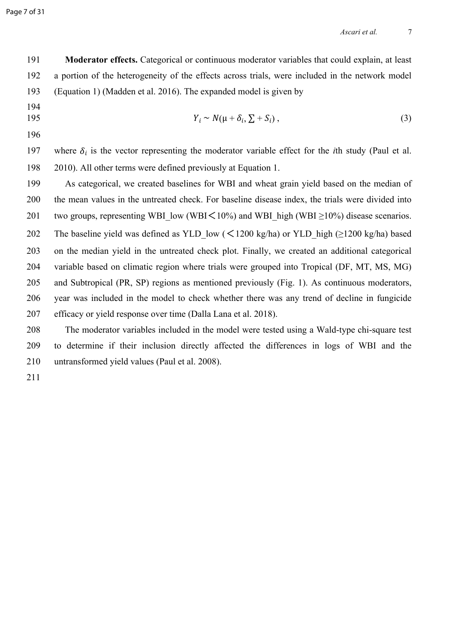Page 7 of 31

191 **Moderator effects.** Categorical or continuous moderator variables that could explain, at least 192 a portion of the heterogeneity of the effects across trials, were included in the network model 193 (Equation 1) (Madden et al. 2016). The expanded model is given by

194

$$
Y_i \sim N(\mu + \delta_i, \sum + S_i), \tag{3}
$$

196

197 where  $\delta_i$  is the vector representing the moderator variable effect for the *i*th study (Paul et al. 198 [2010\).](https://www.zotero.org/google-docs/?8cLyyE) All other terms were defined previously at Equation 1.

199 As categorical, we created baselines for WBI and wheat grain yield based on the median of 200 the mean values in the untreated check. For baseline disease index, the trials were divided into 201 two groups, representing WBI low (WBI $\leq$ 10%) and WBI high (WBI  $\geq$ 10%) disease scenarios. 202 The baseline yield was defined as YLD low ( $\lt$ 1200 kg/ha) or YLD high ( $\ge$ 1200 kg/ha) based 203 on the median yield in the untreated check plot. Finally, we created an additional categorical 204 variable based on climatic region where trials were grouped into Tropical (DF, MT, MS, MG) 205 and Subtropical (PR, SP) regions as mentioned previously (Fig. 1). As continuous moderators, 206 year was included in the model to check whether there was any trend of decline in fungicide 207 efficacy or yield response over time (Dalla Lana et al. 2018).

208 The moderator variables included in the model were tested using a Wald-type chi-square test 209 to determine if their inclusion directly affected the differences in logs of WBI and the 210 untransformed yield values [\(Paul et al. 2008\)](https://www.zotero.org/google-docs/?r2DWvk).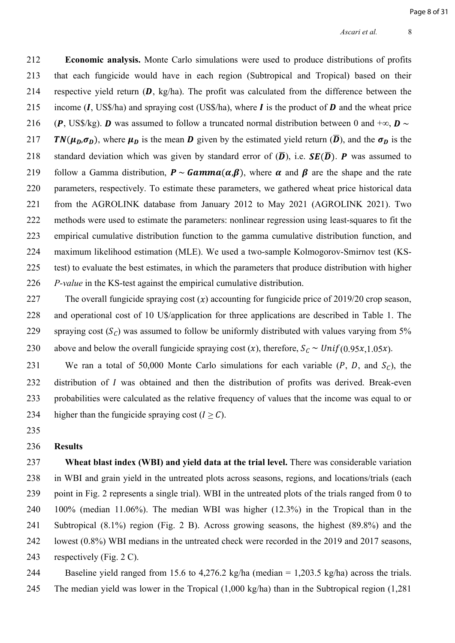212 **Economic analysis.** Monte Carlo simulations were used to produce distributions of profits 213 that each fungicide would have in each region (Subtropical and Tropical) based on their 214 respective yield return  $(D, kg/ha)$ . The profit was calculated from the difference between the 215 income  $(I, US\$ /ha) and spraying cost (US\$/ha), where  $I$  is the product of  $D$  and the wheat price 216 (P, US\$/kg). D was assumed to follow a truncated normal distribution between 0 and  $+\infty$ , D  $\sim$ 217 **TN**( $\mu_D, \sigma_D$ ), where  $\mu_D$  is the mean **D** given by the estimated yield return  $(\overline{D})$ , and the  $\sigma_D$  is the 218 standard deviation which was given by standard error of  $(\overline{D})$ , i.e.  $SE(\overline{D})$ . P was assumed to 219 follow a Gamma distribution,  $P \sim \text{Gamma}(\alpha, \beta)$ , where  $\alpha$  and  $\beta$  are the shape and the rate 220 parameters, respectively. To estimate these parameters, we gathered wheat price historical data 221 from the AGROLINK database from January 2012 to May 2021 [\(AGROLINK 2021\)](https://www.zotero.org/google-docs/?KI6wiv). Two 222 methods were used to estimate the parameters: nonlinear regression using least-squares to fit the 223 empirical cumulative distribution function to the gamma cumulative distribution function, and 224 maximum likelihood estimation (MLE). We used a two-sample Kolmogorov-Smirnov test (KS-225 test) to evaluate the best estimates, in which the parameters that produce distribution with higher

226 *P-value* in the KS-test against the empirical cumulative distribution.

227 The overall fungicide spraying cost  $(x)$  accounting for fungicide price of 2019/20 crop season, 228 and operational cost of 10 U\$/application for three applications are described in Table 1. The 229 spraying cost  $(S_C)$  was assumed to follow be uniformly distributed with values varying from 5% 230 above and below the overall fungicide spraying cost  $(x)$ , therefore,  $S_c \sim Unif(0.95x,1.05x)$ .

231 We ran a total of 50,000 Monte Carlo simulations for each variable  $(P, D, \text{ and } S_C)$ , the 232 distribution of  $I$  was obtained and then the distribution of profits was derived. Break-even 233 probabilities were calculated as the relative frequency of values that the income was equal to or 234 higher than the fungicide spraying cost  $(I > C)$ .

235

### 236 **Results**

237 **Wheat blast index (WBI) and yield data at the trial level.** There was considerable variation 238 in WBI and grain yield in the untreated plots across seasons, regions, and locations/trials (each 239 point in Fig. 2 represents a single trial). WBI in the untreated plots of the trials ranged from 0 to 240 100% (median 11.06%). The median WBI was higher (12.3%) in the Tropical than in the 241 Subtropical (8.1%) region (Fig. 2 B). Across growing seasons, the highest (89.8%) and the 242 lowest (0.8%) WBI medians in the untreated check were recorded in the 2019 and 2017 seasons, 243 respectively (Fig. 2 C).

244 Baseline yield ranged from 15.6 to 4,276.2 kg/ha (median = 1,203.5 kg/ha) across the trials. 245 The median yield was lower in the Tropical (1,000 kg/ha) than in the Subtropical region (1,281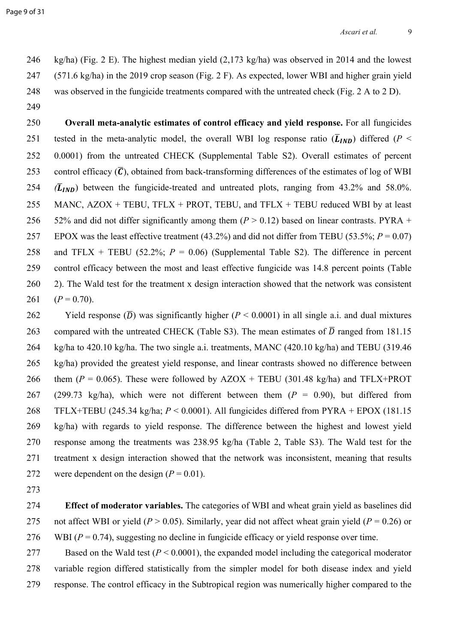246 kg/ha) (Fig. 2 E). The highest median yield (2,173 kg/ha) was observed in 2014 and the lowest 247 (571.6 kg/ha) in the 2019 crop season (Fig. 2 F). As expected, lower WBI and higher grain yield 248 was observed in the fungicide treatments compared with the untreated check (Fig. 2 A to 2 D).

249

250 **Overall meta-analytic estimates of control efficacy and yield response.** For all fungicides 251 tested in the meta-analytic model, the overall WBI log response ratio  $(\bar{L}_{IND})$  differed ( $P <$ 252 0.0001) from the untreated CHECK (Supplemental Table S2). Overall estimates of percent 253 control efficacy  $(\bar{C})$ , obtained from back-transforming differences of the estimates of log of WBI 254  $(\overline{L}_{IND})$  between the fungicide-treated and untreated plots, ranging from 43.2% and 58.0%. 255 MANC,  $AZOX + TEBU$ ,  $TFLX + PROT$ ,  $TEBU$ , and  $TFLX + TEBU$  reduced WBI by at least 256 52% and did not differ significantly among them  $(P > 0.12)$  based on linear contrasts. PYRA + 257 EPOX was the least effective treatment (43.2%) and did not differ from TEBU (53.5%; *P* = 0.07) 258 and TFLX + TEBU (52.2%;  $P = 0.06$ ) (Supplemental Table S2). The difference in percent 259 control efficacy between the most and least effective fungicide was 14.8 percent points (Table 260 2). The Wald test for the treatment x design interaction showed that the network was consistent 261  $(P = 0.70)$ .

262 Yield response  $(\overline{D})$  was significantly higher  $(P < 0.0001)$  in all single a.i. and dual mixtures 263 compared with the untreated CHECK (Table S3). The mean estimates of  $\overline{D}$  ranged from 181.15 264 kg/ha to 420.10 kg/ha. The two single a.i. treatments, MANC (420.10 kg/ha) and TEBU (319.46 265 kg/ha) provided the greatest yield response, and linear contrasts showed no difference between 266 them  $(P = 0.065)$ . These were followed by  $AZOX + TEBU (301.48 kg/ha)$  and  $TFLX+PROT$ 267 (299.73 kg/ha), which were not different between them (*P* = 0.90), but differed from 268 TFLX+TEBU (245.34 kg/ha; *P* < 0.0001). All fungicides differed from PYRA + EPOX (181.15 269 kg/ha) with regards to yield response. The difference between the highest and lowest yield 270 response among the treatments was 238.95 kg/ha (Table 2, Table S3). The Wald test for the 271 treatment x design interaction showed that the network was inconsistent, meaning that results 272 were dependent on the design  $(P = 0.01)$ .

273

274 **Effect of moderator variables.** The categories of WBI and wheat grain yield as baselines did 275 not affect WBI or yield ( $P > 0.05$ ). Similarly, year did not affect wheat grain yield ( $P = 0.26$ ) or 276 WBI (*P* = 0.74), suggesting no decline in fungicide efficacy or yield response over time.

277 Based on the Wald test (*P* < 0.0001), the expanded model including the categorical moderator 278 variable region differed statistically from the simpler model for both disease index and yield 279 response. The control efficacy in the Subtropical region was numerically higher compared to the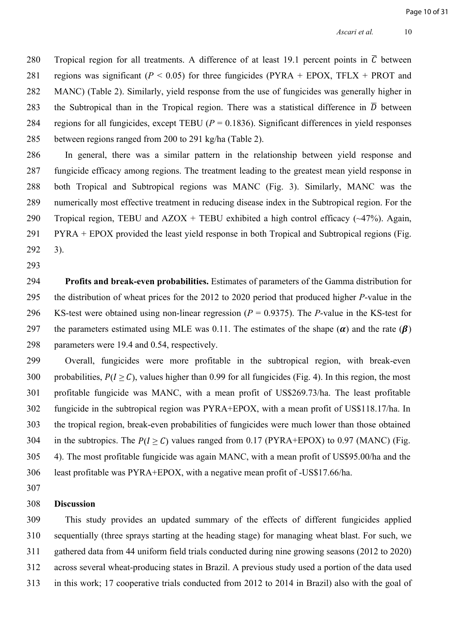280 Tropical region for all treatments. A difference of at least 19.1 percent points in  $\overline{C}$  between 281 regions was significant  $(P < 0.05)$  for three fungicides (PYRA + EPOX, TFLX + PROT and 282 MANC) (Table 2). Similarly, yield response from the use of fungicides was generally higher in 283 the Subtropical than in the Tropical region. There was a statistical difference in  $\overline{D}$  between 284 regions for all fungicides, except TEBU (*P* = 0.1836). Significant differences in yield responses 285 between regions ranged from 200 to 291 kg/ha (Table 2).

286 In general, there was a similar pattern in the relationship between yield response and 287 fungicide efficacy among regions. The treatment leading to the greatest mean yield response in 288 both Tropical and Subtropical regions was MANC (Fig. 3). Similarly, MANC was the 289 numerically most effective treatment in reducing disease index in the Subtropical region. For the 290 Tropical region, TEBU and  $AZOX + TEBU$  exhibited a high control efficacy ( $\sim$ 47%). Again, 291 PYRA + EPOX provided the least yield response in both Tropical and Subtropical regions (Fig. 292 3).

293

294 **Profits and break-even probabilities.** Estimates of parameters of the Gamma distribution for 295 the distribution of wheat prices for the 2012 to 2020 period that produced higher *P*-value in the 296 KS-test were obtained using non-linear regression (*P* = 0.9375). The *P*-value in the KS-test for 297 the parameters estimated using MLE was 0.11. The estimates of the shape  $(\alpha)$  and the rate  $(\beta)$ 298 parameters were 19.4 and 0.54, respectively.

299 Overall, fungicides were more profitable in the subtropical region, with break-even 300 probabilities,  $P(I > C)$ , values higher than 0.99 for all fungicides (Fig. 4). In this region, the most 301 profitable fungicide was MANC, with a mean profit of US\$269.73/ha. The least profitable 302 fungicide in the subtropical region was PYRA+EPOX, with a mean profit of US\$118.17/ha. In 303 the tropical region, break-even probabilities of fungicides were much lower than those obtained 304 in the subtropics. The  $P(I > C)$  values ranged from 0.17 (PYRA+EPOX) to 0.97 (MANC) (Fig. 305 4). The most profitable fungicide was again MANC, with a mean profit of US\$95.00/ha and the 306 least profitable was PYRA+EPOX, with a negative mean profit of -US\$17.66/ha.

307

#### 308 **Discussion**

309 This study provides an updated summary of the effects of different fungicides applied 310 sequentially (three sprays starting at the heading stage) for managing wheat blast. For such, we 311 gathered data from 44 uniform field trials conducted during nine growing seasons (2012 to 2020) 312 across several wheat-producing states in Brazil. A previous study used a portion of the data used 313 in this work; 17 cooperative trials conducted from 2012 to 2014 in Brazil) also with the goal of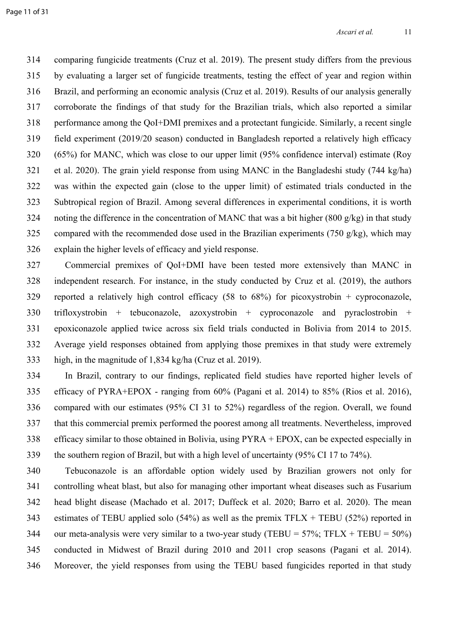314 comparing fungicide treatments [\(Cruz et al. 2019\)](https://www.zotero.org/google-docs/?rYQDeY). The present study differs from the previous 315 by evaluating a larger set of fungicide treatments, testing the effect of year and region within 316 Brazil, and performing an economic analysis (Cruz et al. 2019). Results of our analysis generally 317 corroborate the findings of that study for the Brazilian trials, which also reported a similar 318 performance among the QoI+DMI premixes and a protectant fungicide. Similarly, a recent single 319 field experiment (2019/20 season) conducted in Bangladesh reported a relatively high efficacy 320 (65%) for MANC, which was close to our upper limit (95% confidence interval) estimate [\(Roy](https://www.zotero.org/google-docs/?aBjGJZ)  321 [et al. 2020\)](https://www.zotero.org/google-docs/?aBjGJZ). The grain yield response from using MANC in the Bangladeshi study (744 kg/ha) 322 was within the expected gain (close to the upper limit) of estimated trials conducted in the 323 Subtropical region of Brazil. Among several differences in experimental conditions, it is worth 324 noting the difference in the concentration of MANC that was a bit higher (800 g/kg) in that study 325 compared with the recommended dose used in the Brazilian experiments (750 g/kg), which may 326 explain the higher levels of efficacy and yield response.

327 Commercial premixes of QoI+DMI have been tested more extensively than MANC in 328 independent research. For instance, in the study conducted by Cruz et al. (2019), the authors 329 reported a relatively high control efficacy (58 to 68%) for picoxystrobin + cyproconazole, 330 trifloxystrobin + tebuconazole, azoxystrobin + cyproconazole and pyraclostrobin + 331 epoxiconazole applied twice across six field trials conducted in Bolivia from 2014 to 2015. 332 Average yield responses obtained from applying those premixes in that study were extremely 333 high, in the magnitude of 1,834 kg/ha [\(Cruz et al. 2019\)](https://www.zotero.org/google-docs/?84LOWP).

334 In Brazil, contrary to our findings, replicated field studies have reported higher levels of 335 efficacy of PYRA+EPOX - ranging from 60% [\(Pagani et al. 2014\)](https://www.zotero.org/google-docs/?oP1lZf) to 85% [\(Rios et al. 2016\),](https://www.zotero.org/google-docs/?qJnMuY) 336 compared with our estimates (95% CI 31 to 52%) regardless of the region. Overall, we found 337 that this commercial premix performed the poorest among all treatments. Nevertheless, improved 338 efficacy similar to those obtained in Bolivia, using PYRA + EPOX, can be expected especially in 339 the southern region of Brazil, but with a high level of uncertainty (95% CI 17 to 74%).

340 Tebuconazole is an affordable option widely used by Brazilian growers not only for 341 controlling wheat blast, but also for managing other important wheat diseases such as Fusarium 342 head blight disease [\(Machado et al. 2017; Duffeck et al. 2020; Barro et al. 2020\)](https://www.zotero.org/google-docs/?nqmKLR). The mean 343 estimates of TEBU applied solo  $(54\%)$  as well as the premix TFLX + TEBU (52%) reported in 344 our meta-analysis were very similar to a two-year study (TEBU =  $57\%$ ; TFLX + TEBU =  $50\%$ ) 345 conducted in Midwest of Brazil during 2010 and 2011 crop seasons [\(Pagani et al. 2014\).](https://www.zotero.org/google-docs/?wE9DCw) 346 Moreover, the yield responses from using the TEBU based fungicides reported in that study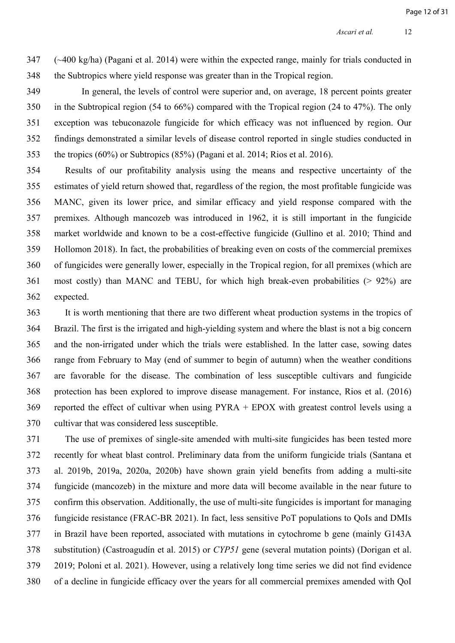$347$  ( $\sim$ 400 kg/ha) [\(Pagani et al. 2014\)](https://www.zotero.org/google-docs/?PnjKLO) were within the expected range, mainly for trials conducted in 348 the Subtropics where yield response was greater than in the Tropical region.

349 In general, the levels of control were superior and, on average, 18 percent points greater 350 in the Subtropical region (54 to 66%) compared with the Tropical region (24 to 47%). The only 351 exception was tebuconazole fungicide for which efficacy was not influenced by region. Our 352 findings demonstrated a similar levels of disease control reported in single studies conducted in 353 the tropics (60%) or Subtropics (85%) [\(Pagani et al. 2014; Rios et al. 2016\)](https://www.zotero.org/google-docs/?c8qpVn).

354 Results of our profitability analysis using the means and respective uncertainty of the 355 estimates of yield return showed that, regardless of the region, the most profitable fungicide was 356 MANC, given its lower price, and similar efficacy and yield response compared with the 357 premixes. Although mancozeb was introduced in 1962, it is still important in the fungicide 358 market worldwide and known to be a cost-effective fungicide [\(Gullino et al. 2010; Thind and](https://www.zotero.org/google-docs/?fgiNsP)  359 [Hollomon 2018\).](https://www.zotero.org/google-docs/?fgiNsP) In fact, the probabilities of breaking even on costs of the commercial premixes 360 of fungicides were generally lower, especially in the Tropical region, for all premixes (which are 361 most costly) than MANC and TEBU, for which high break-even probabilities (> 92%) are 362 expected.

363 It is worth mentioning that there are two different wheat production systems in the tropics of 364 Brazil. The first is the irrigated and high-yielding system and where the blast is not a big concern 365 and the non-irrigated under which the trials were established. In the latter case, sowing dates 366 range from February to May (end of summer to begin of autumn) when the weather conditions 367 are favorable for the disease. The combination of less susceptible cultivars and fungicide 368 protection has been explored to improve disease management. For instance, Rios et al. (2016) 369 reported the effect of cultivar when using PYRA + EPOX with greatest control levels using a 370 cultivar that was considered less susceptible.

371 The use of premixes of single-site amended with multi-site fungicides has been tested more 372 recently for wheat blast control. Preliminary data from the uniform fungicide trials [\(Santana et](https://www.zotero.org/google-docs/?rxkm05)  373 [al. 2019b, 2019a, 2020a, 2020b\)](https://www.zotero.org/google-docs/?rxkm05) have shown grain yield benefits from adding a multi-site 374 fungicide (mancozeb) in the mixture and more data will become available in the near future to 375 confirm this observation. Additionally, the use of multi-site fungicides is important for managing 376 fungicide resistance [\(FRAC-BR 2021\).](https://www.zotero.org/google-docs/?7jTxeR) In fact, less sensitive PoT populations to QoIs and DMIs 377 in Brazil have been reported, associated with mutations in cytochrome b gene (mainly G143A 378 substitution) [\(Castroagudín et al. 2015\)](https://www.zotero.org/google-docs/?a8YQbB) or *CYP51* gene (several mutation points) [\(Dorigan et al.](https://www.zotero.org/google-docs/?gsIUdq)  379 [2019; Poloni et al. 2021\)](https://www.zotero.org/google-docs/?gsIUdq). However, using a relatively long time series we did not find evidence 380 of a decline in fungicide efficacy over the years for all commercial premixes amended with QoI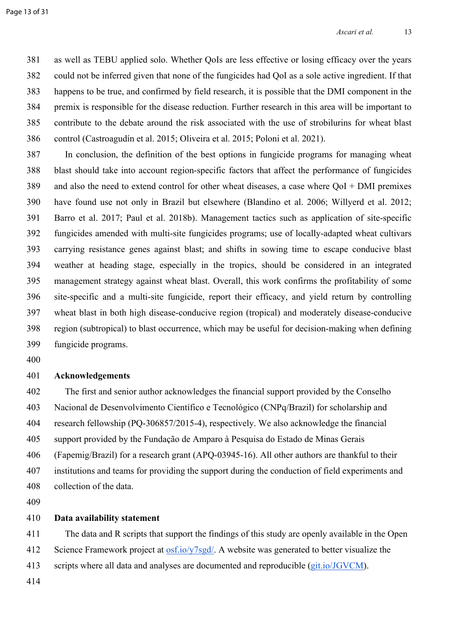381 as well as TEBU applied solo. Whether QoIs are less effective or losing efficacy over the years 382 could not be inferred given that none of the fungicides had QoI as a sole active ingredient. If that 383 happens to be true, and confirmed by field research, it is possible that the DMI component in the 384 premix is responsible for the disease reduction. Further research in this area will be important to 385 contribute to the debate around the risk associated with the use of strobilurins for wheat blast 386 control [\(Castroagudín et al. 2015; Oliveira et al. 2015; Poloni et al. 2021\)](https://www.zotero.org/google-docs/?jt5PFo).

387 In conclusion, the definition of the best options in fungicide programs for managing wheat 388 blast should take into account region-specific factors that affect the performance of fungicides 389 and also the need to extend control for other wheat diseases, a case where QoI + DMI premixes 390 have found use not only in Brazil but elsewhere [\(Blandino et al. 2006; Willyerd et al. 2012;](https://www.zotero.org/google-docs/?vnBV4E)  391 [Barro et al. 2017; Paul et al. 2018b\)](https://www.zotero.org/google-docs/?vnBV4E). Management tactics such as application of site-specific 392 fungicides amended with multi-site fungicides programs; use of locally-adapted wheat cultivars 393 carrying resistance genes against blast; and shifts in sowing time to escape conducive blast 394 weather at heading stage, especially in the tropics, should be considered in an integrated 395 management strategy against wheat blast. Overall, this work confirms the profitability of some 396 site-specific and a multi-site fungicide, report their efficacy, and yield return by controlling 397 wheat blast in both high disease-conducive region (tropical) and moderately disease-conducive 398 region (subtropical) to blast occurrence, which may be useful for decision-making when defining 399 fungicide programs.

400

# 401 **Acknowledgements**

402 The first and senior author acknowledges the financial support provided by the Conselho 403 Nacional de Desenvolvimento Científico e Tecnológico (CNPq/Brazil) for scholarship and 404 research fellowship (PQ-306857/2015-4), respectively. We also acknowledge the financial 405 support provided by the Fundação de Amparo à Pesquisa do Estado de Minas Gerais 406 (Fapemig/Brazil) for a research grant (APQ-03945-16). All other authors are thankful to their 407 institutions and teams for providing the support during the conduction of field experiments and 408 collection of the data.

409

# 410 **Data availability statement**

411 The data and R scripts that support the findings of this study are openly available in the Open 412 Science Framework project at [osf.io/y7sgd/.](https://osf.io/y7sgd/) A website was generated to better visualize the 413 scripts where all data and analyses are documented and reproducible ([git.io/JGVCM\)](https://git.io/JGVCM).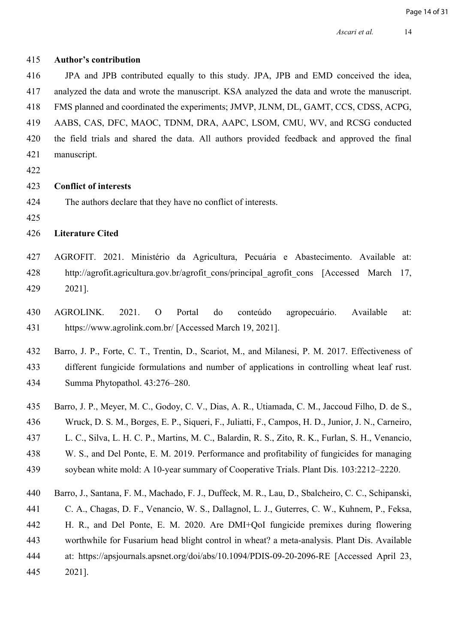| 415 | <b>Author's contribution</b>                                                                         |
|-----|------------------------------------------------------------------------------------------------------|
| 416 | JPA and JPB contributed equally to this study. JPA, JPB and EMD conceived the idea,                  |
| 417 | analyzed the data and wrote the manuscript. KSA analyzed the data and wrote the manuscript.          |
| 418 | FMS planned and coordinated the experiments; JMVP, JLNM, DL, GAMT, CCS, CDSS, ACPG,                  |
| 419 | AABS, CAS, DFC, MAOC, TDNM, DRA, AAPC, LSOM, CMU, WV, and RCSG conducted                             |
| 420 | the field trials and shared the data. All authors provided feedback and approved the final           |
| 421 | manuscript.                                                                                          |
| 422 |                                                                                                      |
| 423 | <b>Conflict of interests</b>                                                                         |
| 424 | The authors declare that they have no conflict of interests.                                         |
| 425 |                                                                                                      |
| 426 | <b>Literature Cited</b>                                                                              |
| 427 | AGROFIT. 2021. Ministério da Agricultura, Pecuária e Abastecimento. Available at:                    |
| 428 | http://agrofit.agricultura.gov.br/agrofit cons/principal agrofit cons [Accessed March<br>17,         |
| 429 | 2021].                                                                                               |
|     |                                                                                                      |
| 430 | AGROLINK.<br>2021.<br>$\mathcal{O}$<br>Portal<br>do<br>conteúdo<br>agropecuário.<br>Available<br>at: |
| 431 | https://www.agrolink.com.br/ [Accessed March 19, 2021].                                              |
| 432 | Barro, J. P., Forte, C. T., Trentin, D., Scariot, M., and Milanesi, P. M. 2017. Effectiveness of     |
| 433 | different fungicide formulations and number of applications in controlling wheat leaf rust.          |
| 434 | Summa Phytopathol. 43:276-280.                                                                       |
| 435 | Barro, J. P., Meyer, M. C., Godoy, C. V., Dias, A. R., Utiamada, C. M., Jaccoud Filho, D. de S.,     |
| 436 | Wruck, D. S. M., Borges, E. P., Siqueri, F., Juliatti, F., Campos, H. D., Junior, J. N., Carneiro,   |
| 437 | L. C., Silva, L. H. C. P., Martins, M. C., Balardin, R. S., Zito, R. K., Furlan, S. H., Venancio,    |
|     |                                                                                                      |

- [W. S., and Del Ponte, E. M. 2019. Performance and profitability of fungicides for managing](https://www.zotero.org/google-docs/?tHn0zA)
- [soybean white mold: A 10-year summary of Cooperative Trials. Plant Dis. 103:2212–2220.](https://www.zotero.org/google-docs/?tHn0zA)
- [Barro, J., Santana, F. M., Machado, F. J., Duffeck, M. R., Lau, D., Sbalcheiro, C. C., Schipanski,](Barro,%20J.,%20Santana,%20F.%20M.,%20Machado,%20F.%20J.,%20Duffeck,%20M.%20R.,%20Lau,%20D.,%20Sbalcheiro,%20C.%20C.,%20Schipanski,%20C.%20A.,%20Chagas,%20D.%20F.,%20Venancio,%20W.%20S.,%20Dallagnol,%20L.%20J.,%20.%202020.%20Are%20DMI+QoI%20fungicide%20premixes%20during%20flowering%20worthwhile%20for%20Fusarium%20head%20blight%20control%20in%20wheat?%20a%20meta-analysis.%20Plant%20Dis.%20Available%20at:%20https://apsjournals.apsnet.org/doi/abs/10.1094/PDIS-09-20-2096-RE%20%5bAccessed%20April%2023,%202021%5d.)
- [C. A., Chagas, D. F., Venancio, W. S., Dallagnol, L. J., Guterres, C. W., Kuhnem, P., Feksa,](Barro,%20J.,%20Santana,%20F.%20M.,%20Machado,%20F.%20J.,%20Duffeck,%20M.%20R.,%20Lau,%20D.,%20Sbalcheiro,%20C.%20C.,%20Schipanski,%20C.%20A.,%20Chagas,%20D.%20F.,%20Venancio,%20W.%20S.,%20Dallagnol,%20L.%20J.,%20.%202020.%20Are%20DMI+QoI%20fungicide%20premixes%20during%20flowering%20worthwhile%20for%20Fusarium%20head%20blight%20control%20in%20wheat?%20a%20meta-analysis.%20Plant%20Dis.%20Available%20at:%20https://apsjournals.apsnet.org/doi/abs/10.1094/PDIS-09-20-2096-RE%20%5bAccessed%20April%2023,%202021%5d.)
- [H. R., and Del Ponte, E. M. 2020. Are DMI+QoI fungicide premixes during flowering](Barro,%20J.,%20Santana,%20F.%20M.,%20Machado,%20F.%20J.,%20Duffeck,%20M.%20R.,%20Lau,%20D.,%20Sbalcheiro,%20C.%20C.,%20Schipanski,%20C.%20A.,%20Chagas,%20D.%20F.,%20Venancio,%20W.%20S.,%20Dallagnol,%20L.%20J.,%20.%202020.%20Are%20DMI+QoI%20fungicide%20premixes%20during%20flowering%20worthwhile%20for%20Fusarium%20head%20blight%20control%20in%20wheat?%20a%20meta-analysis.%20Plant%20Dis.%20Available%20at:%20https://apsjournals.apsnet.org/doi/abs/10.1094/PDIS-09-20-2096-RE%20%5bAccessed%20April%2023,%202021%5d.)
- [worthwhile for Fusarium head blight control in wheat? a meta-analysis. Plant Dis. Available](Barro,%20J.,%20Santana,%20F.%20M.,%20Machado,%20F.%20J.,%20Duffeck,%20M.%20R.,%20Lau,%20D.,%20Sbalcheiro,%20C.%20C.,%20Schipanski,%20C.%20A.,%20Chagas,%20D.%20F.,%20Venancio,%20W.%20S.,%20Dallagnol,%20L.%20J.,%20.%202020.%20Are%20DMI+QoI%20fungicide%20premixes%20during%20flowering%20worthwhile%20for%20Fusarium%20head%20blight%20control%20in%20wheat?%20a%20meta-analysis.%20Plant%20Dis.%20Available%20at:%20https://apsjournals.apsnet.org/doi/abs/10.1094/PDIS-09-20-2096-RE%20%5bAccessed%20April%2023,%202021%5d.)
- [at: https://apsjournals.apsnet.org/doi/abs/10.1094/PDIS-09-20-2096-RE \[Accessed April 23,](Barro,%20J.,%20Santana,%20F.%20M.,%20Machado,%20F.%20J.,%20Duffeck,%20M.%20R.,%20Lau,%20D.,%20Sbalcheiro,%20C.%20C.,%20Schipanski,%20C.%20A.,%20Chagas,%20D.%20F.,%20Venancio,%20W.%20S.,%20Dallagnol,%20L.%20J.,%20.%202020.%20Are%20DMI+QoI%20fungicide%20premixes%20during%20flowering%20worthwhile%20for%20Fusarium%20head%20blight%20control%20in%20wheat?%20a%20meta-analysis.%20Plant%20Dis.%20Available%20at:%20https://apsjournals.apsnet.org/doi/abs/10.1094/PDIS-09-20-2096-RE%20%5bAccessed%20April%2023,%202021%5d.)
- [2021\].](Barro,%20J.,%20Santana,%20F.%20M.,%20Machado,%20F.%20J.,%20Duffeck,%20M.%20R.,%20Lau,%20D.,%20Sbalcheiro,%20C.%20C.,%20Schipanski,%20C.%20A.,%20Chagas,%20D.%20F.,%20Venancio,%20W.%20S.,%20Dallagnol,%20L.%20J.,%20.%202020.%20Are%20DMI+QoI%20fungicide%20premixes%20during%20flowering%20worthwhile%20for%20Fusarium%20head%20blight%20control%20in%20wheat?%20a%20meta-analysis.%20Plant%20Dis.%20Available%20at:%20https://apsjournals.apsnet.org/doi/abs/10.1094/PDIS-09-20-2096-RE%20%5bAccessed%20April%2023,%202021%5d.)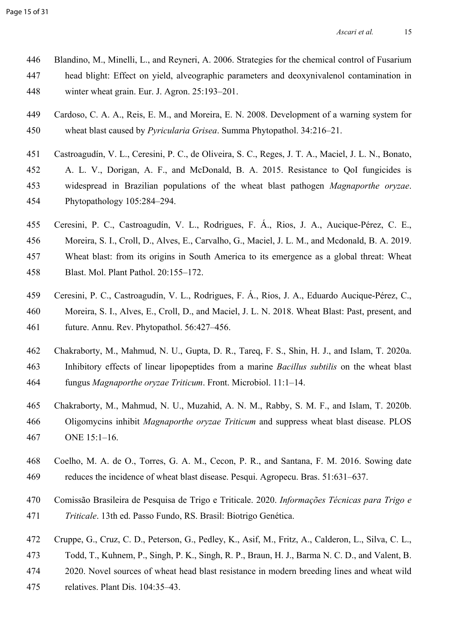- [Blandino, M., Minelli, L., and Reyneri, A. 2006. Strategies for the chemical control of Fusarium](https://www.zotero.org/google-docs/?tHn0zA)   [head blight: Effect on yield, alveographic parameters and deoxynivalenol contamination in](https://www.zotero.org/google-docs/?tHn0zA)   [winter wheat grain. Eur. J. Agron. 25:193–201.](https://www.zotero.org/google-docs/?tHn0zA)
- 449 Cardoso, C. A. A., Reis, E. M., and Moreira, E. N. 2008. Development of a warning system for 450 wheat blast caused by *Pyricularia Grisea*. Summa Phytopathol. 34:216–21.
- [Castroagudín, V. L., Ceresini, P. C., de Oliveira, S. C., Reges, J. T. A., Maciel, J. L. N., Bonato,](https://www.zotero.org/google-docs/?tHn0zA)   [A. L. V., Dorigan, A. F., and McDonald, B. A. 2015. Resistance to QoI fungicides is](https://www.zotero.org/google-docs/?tHn0zA)   [widespread in Brazilian populations of the wheat blast pathogen](https://www.zotero.org/google-docs/?tHn0zA) *Magnaporthe oryzae*.  [Phytopathology 105:284–294.](https://www.zotero.org/google-docs/?tHn0zA)
- 
- [Ceresini, P. C., Castroagudín, V. L., Rodrigues, F. Á., Rios, J. A., Aucique-Pérez, C. E.,](https://www.zotero.org/google-docs/?tHn0zA)
- [Moreira, S. I., Croll, D., Alves, E., Carvalho, G., Maciel, J. L. M., and Mcdonald, B. A. 2019.](https://www.zotero.org/google-docs/?tHn0zA)
- [Wheat blast: from its origins in South America to its emergence as a global threat: Wheat](https://www.zotero.org/google-docs/?tHn0zA)
- [Blast. Mol. Plant Pathol. 20:155–172.](https://www.zotero.org/google-docs/?tHn0zA)
- [Ceresini, P. C., Castroagudín, V. L., Rodrigues, F. Á., Rios, J. A., Eduardo Aucique-Pérez, C.,](https://www.zotero.org/google-docs/?tHn0zA)   [Moreira, S. I., Alves, E., Croll, D., and Maciel, J. L. N. 2018. Wheat Blast: Past, present, and](https://www.zotero.org/google-docs/?tHn0zA)   [future. Annu. Rev. Phytopathol. 56:427–456.](https://www.zotero.org/google-docs/?tHn0zA)
- [Chakraborty, M., Mahmud, N. U., Gupta, D. R., Tareq, F. S., Shin, H. J., and Islam, T. 2020a.](https://www.zotero.org/google-docs/?tHn0zA)   [Inhibitory effects of linear lipopeptides from a marine](https://www.zotero.org/google-docs/?tHn0zA) *Bacillus subtilis* on the wheat blast 464 fungus *[Magnaporthe oryzae Triticum](https://www.zotero.org/google-docs/?tHn0zA)*. Front. Microbiol. 11:1–14.
- [Chakraborty, M., Mahmud, N. U., Muzahid, A. N. M., Rabby, S. M. F., and Islam, T. 2020b.](https://www.zotero.org/google-docs/?tHn0zA)  466 Oligomycins inhibit *Magnaporthe oryzae Triticum* [and suppress wheat blast disease. PLOS](https://www.zotero.org/google-docs/?tHn0zA)   [ONE 15:1–16.](https://www.zotero.org/google-docs/?tHn0zA)
- [Coelho, M. A. de O., Torres, G. A. M., Cecon, P. R., and Santana, F. M. 2016. Sowing date](https://www.zotero.org/google-docs/?tHn0zA)   [reduces the incidence of wheat blast disease. Pesqui. Agropecu. Bras. 51:631–637.](https://www.zotero.org/google-docs/?tHn0zA)
- [Comissão Brasileira de Pesquisa de Trigo e Triticale. 2020.](https://www.zotero.org/google-docs/?tHn0zA) *Informações Técnicas para Trigo e Triticale*[. 13th ed. Passo Fundo, RS. Brasil: Biotrigo Genética.](https://www.zotero.org/google-docs/?tHn0zA)
- [Cruppe, G., Cruz, C. D., Peterson, G., Pedley, K., Asif, M., Fritz, A., Calderon, L., Silva, C. L.,](https://www.zotero.org/google-docs/?tHn0zA)
- [Todd, T., Kuhnem, P., Singh, P. K., Singh, R. P., Braun, H. J., Barma N. C. D., and Valent, B.](https://www.zotero.org/google-docs/?tHn0zA)
- [2020. Novel sources of wheat head blast resistance in modern breeding lines and wheat wild](https://www.zotero.org/google-docs/?tHn0zA)
- [relatives. Plant Dis. 104:35–43.](https://www.zotero.org/google-docs/?tHn0zA)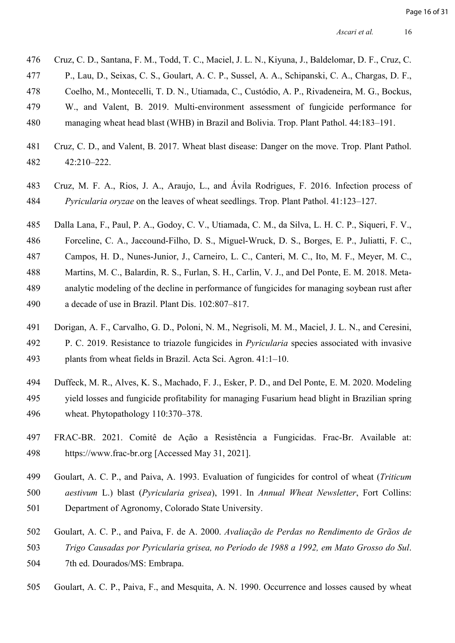- [Cruz, C. D., Santana, F. M., Todd, T. C., Maciel, J. L. N., Kiyuna, J., Baldelomar, D. F., Cruz, C.](https://www.zotero.org/google-docs/?tHn0zA)
- [P., Lau, D., Seixas, C. S., Goulart, A. C. P., Sussel, A. A., Schipanski, C. A., Chargas, D. F.,](https://www.zotero.org/google-docs/?tHn0zA)
- [Coelho, M., Montecelli, T. D. N., Utiamada, C., Custódio, A. P., Rivadeneira, M. G., Bockus,](https://www.zotero.org/google-docs/?tHn0zA)
- [W., and Valent, B. 2019. Multi-environment assessment of fungicide performance for](https://www.zotero.org/google-docs/?tHn0zA)
- [managing wheat head blast \(WHB\) in Brazil and Bolivia. Trop. Plant Pathol. 44:183–191.](https://www.zotero.org/google-docs/?tHn0zA)
- [Cruz, C. D., and Valent, B. 2017. Wheat blast disease: Danger on the move. Trop. Plant Pathol.](https://www.zotero.org/google-docs/?tHn0zA)   [42:210–222.](https://www.zotero.org/google-docs/?tHn0zA)
- [Cruz, M. F. A., Rios, J. A., Araujo, L., and Ávila Rodrigues, F. 2016. Infection process of](https://www.zotero.org/google-docs/?tHn0zA)  *Pyricularia oryzae* [on the leaves of wheat seedlings. Trop. Plant Pathol. 41:123–127.](https://www.zotero.org/google-docs/?tHn0zA)
- [Dalla Lana, F., Paul, P. A., Godoy, C. V., Utiamada, C. M., da Silva, L. H. C. P., Siqueri, F. V.,](https://www.zotero.org/google-docs/?tHn0zA)
- [Forceline, C. A., Jaccound-Filho, D. S., Miguel-Wruck, D. S., Borges, E. P., Juliatti, F. C.,](https://www.zotero.org/google-docs/?tHn0zA)
- [Campos, H. D., Nunes-Junior, J., Carneiro, L. C., Canteri, M. C., Ito, M. F., Meyer, M. C.,](https://www.zotero.org/google-docs/?tHn0zA)
- [Martins, M. C., Balardin, R. S., Furlan, S. H., Carlin, V. J., and Del Ponte, E. M. 2018. Meta-](https://www.zotero.org/google-docs/?tHn0zA) [analytic modeling of the decline in performance of fungicides for managing soybean rust after](https://www.zotero.org/google-docs/?tHn0zA)   [a decade of use in Brazil. Plant Dis. 102:807–817.](https://www.zotero.org/google-docs/?tHn0zA)
- [Dorigan, A. F., Carvalho, G. D., Poloni, N. M., Negrisoli, M. M., Maciel, J. L. N., and Ceresini,](https://www.zotero.org/google-docs/?tHn0zA)
- [P. C. 2019. Resistance to triazole fungicides in](https://www.zotero.org/google-docs/?tHn0zA) *Pyricularia* species associated with invasive  [plants from wheat fields in Brazil. Acta Sci. Agron. 41:1–10.](https://www.zotero.org/google-docs/?tHn0zA)
- [Duffeck, M. R., Alves, K. S., Machado, F. J., Esker, P. D., and Del Ponte, E. M. 2020. Modeling](https://www.zotero.org/google-docs/?tHn0zA)
- [yield losses and fungicide profitability for managing Fusarium head blight in Brazilian spring](https://www.zotero.org/google-docs/?tHn0zA)   [wheat. Phytopathology 110:370–378.](https://www.zotero.org/google-docs/?tHn0zA)
- [FRAC-BR. 2021. Comitê de Ação a Resistência a Fungicidas. Frac-Br. Available at:](https://www.zotero.org/google-docs/?tHn0zA)   [https://www.frac-br.org \[Accessed May 31, 2021\].](https://www.zotero.org/google-docs/?tHn0zA)
- [Goulart, A. C. P., and Paiva, A. 1993. Evaluation of fungicides for control of wheat \(](https://www.zotero.org/google-docs/?tHn0zA)*Triticum*
- *aestivum* L.) blast (*Pyricularia grisea*), 1991. In *[Annual Wheat Newsletter](https://www.zotero.org/google-docs/?tHn0zA)*, Fort Collins:
- [Department of Agronomy, Colorado State University.](https://www.zotero.org/google-docs/?tHn0zA)
- 502 Goulart, A. C. P., and Paiva, F. de A. 2000. *[Avaliação de Perdas no Rendimento de Grãos de](https://www.zotero.org/google-docs/?tHn0zA)*
- *[Trigo Causadas por Pyricularia grisea, no Período de 1988 a 1992, em Mato Grosso do Sul](https://www.zotero.org/google-docs/?tHn0zA)*.
- [7th ed. Dourados/MS: Embrapa.](https://www.zotero.org/google-docs/?tHn0zA)
- [Goulart, A. C. P., Paiva, F., and Mesquita, A. N. 1990. Occurrence and losses caused by wheat](https://www.zotero.org/google-docs/?tHn0zA)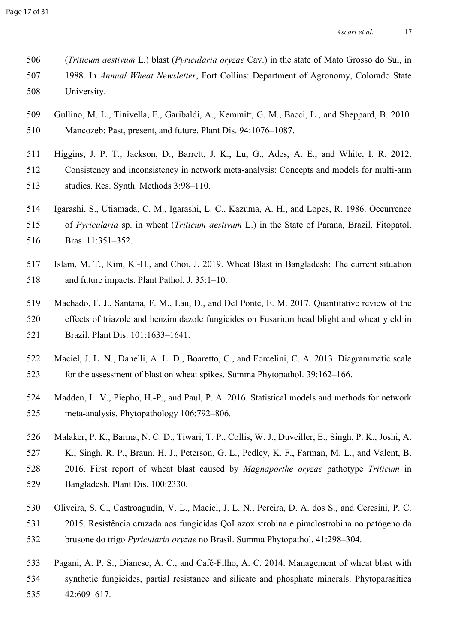| 506 | (Triticum aestivum L.) blast (Pyricularia oryzae Cav.) in the state of Mato Grosso do Sul, in |
|-----|-----------------------------------------------------------------------------------------------|
| 507 | 1988. In Annual Wheat Newsletter, Fort Collins: Department of Agronomy, Colorado State        |
| 508 | University.                                                                                   |

- [Gullino, M. L., Tinivella, F., Garibaldi, A., Kemmitt, G. M., Bacci, L., and Sheppard, B. 2010.](https://www.zotero.org/google-docs/?tHn0zA)   [Mancozeb: Past, present, and future. Plant Dis. 94:1076–1087.](https://www.zotero.org/google-docs/?tHn0zA)
- [Higgins, J. P. T., Jackson, D., Barrett, J. K., Lu, G., Ades, A. E., and White, I. R. 2012.](https://www.zotero.org/google-docs/?tHn0zA)   [Consistency and inconsistency in network meta](https://www.zotero.org/google-docs/?tHn0zA)-analysis: Concepts and models for multi-arm  [studies. Res. Synth. Methods 3:98–110.](https://www.zotero.org/google-docs/?tHn0zA)
- [Igarashi, S., Utiamada, C. M., Igarashi, L. C., Kazuma, A. H., and Lopes, R. 1986. Occurrence](https://www.zotero.org/google-docs/?tHn0zA)  515 of *Pyricularia* sp. in wheat (*Triticum aestivum* [L.\) in the State of Parana, Brazil. Fitopatol.](https://www.zotero.org/google-docs/?tHn0zA)   [Bras. 11:351–352.](https://www.zotero.org/google-docs/?tHn0zA)
- [Islam, M. T., Kim, K.-H., and Choi, J. 2019. Wheat Blast in Bangladesh: The current situation](https://www.zotero.org/google-docs/?tHn0zA)   [and future impacts. Plant Pathol. J. 35:1–10.](https://www.zotero.org/google-docs/?tHn0zA)
- [Machado, F. J., Santana, F. M., Lau, D., and Del Ponte, E. M. 2017. Quantitative review of the](https://www.zotero.org/google-docs/?tHn0zA)   [effects of triazole and benzimidazole fungicides on Fusarium head blight and wheat yield in](https://www.zotero.org/google-docs/?tHn0zA)   [Brazil. Plant Dis. 101:1633–1641.](https://www.zotero.org/google-docs/?tHn0zA)
- [Maciel, J. L. N., Danelli, A. L. D., Boaretto, C., and Forcelini, C. A. 2013. Diagrammatic scale](https://www.zotero.org/google-docs/?tHn0zA)   [for the assessment of blast on wheat spikes. Summa Phytopathol. 39:162–166.](https://www.zotero.org/google-docs/?tHn0zA)
- [Madden, L. V., Piepho, H.-P., and Paul, P. A. 2016. Statistical models and methods for network](https://www.zotero.org/google-docs/?tHn0zA)   [meta-analysis. Phytopathology 106:792–806.](https://www.zotero.org/google-docs/?tHn0zA)
- [Malaker, P. K., Barma, N. C. D., Tiwari, T. P., Collis, W. J., Duveiller, E., Singh, P. K., Joshi, A.](https://www.zotero.org/google-docs/?tHn0zA)   [K., Singh, R. P., Braun, H. J., Peterson, G. L., Pedley, K. F., Farman, M. L., and Valent, B.](https://www.zotero.org/google-docs/?tHn0zA)   [2016. First report of wheat blast caused by](https://www.zotero.org/google-docs/?tHn0zA) *Magnaporthe oryzae* pathotype *Triticum* in  [Bangladesh. Plant Dis. 100:2330.](https://www.zotero.org/google-docs/?tHn0zA)
- [Oliveira, S. C., Castroagudín, V. L., Maciel, J. L. N., Pereira, D. A. dos S., and Ceresini, P. C.](https://www.zotero.org/google-docs/?tHn0zA)
- [2015. Resistência cruzada aos fungicidas QoI azoxistrobina e piraclostrobina no patógeno da](https://www.zotero.org/google-docs/?tHn0zA)  532 brusone do trigo *Pyricularia oryzae* [no Brasil. Summa Phytopathol. 41:298–304.](https://www.zotero.org/google-docs/?tHn0zA)
- [Pagani, A. P. S., Dianese, A. C., and Café-Filho, A. C. 2014. Management of wheat blast with](https://www.zotero.org/google-docs/?tHn0zA)   [synthetic fungicides, partial resistance and silicate and phosphate minerals. Phytoparasitica](https://www.zotero.org/google-docs/?tHn0zA)
- [42:609–617.](https://www.zotero.org/google-docs/?tHn0zA)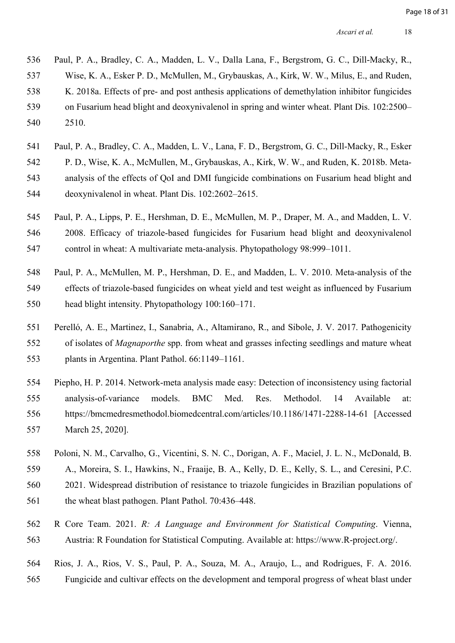[Paul, P. A., Bradley, C. A., Madden, L. V., Dalla Lana, F., Bergstrom, G. C., Dill-Macky, R.,](https://www.zotero.org/google-docs/?tHn0zA)   [Wise, K. A., Esker P. D., McMullen, M., Grybauskas, A., Kirk, W. W., Milus, E., and Ruden,](https://www.zotero.org/google-docs/?tHn0zA)   [K. 2018a. Effects of pre- and post anthesis applications of demethylation inhibitor fungicides](https://www.zotero.org/google-docs/?tHn0zA)   [on Fusarium head blight and deoxynivalenol in spring and winter wheat. Plant Dis. 102:2500–](https://www.zotero.org/google-docs/?tHn0zA)  [2510.](https://www.zotero.org/google-docs/?tHn0zA)

- [Paul, P. A., Bradley, C. A., Madden, L. V., Lana, F. D., Bergstrom, G. C., Dill-Macky, R., Esker](https://www.zotero.org/google-docs/?tHn0zA)   [P. D., Wise, K. A., McMullen, M., Grybauskas, A., Kirk, W. W., and Ruden, K. 2018b. Meta-](https://www.zotero.org/google-docs/?tHn0zA) [analysis of the effects of QoI and DMI fungicide combinations on Fusarium head blight and](https://www.zotero.org/google-docs/?tHn0zA)   [deoxynivalenol in wheat. Plant Dis. 102:2602–2615.](https://www.zotero.org/google-docs/?tHn0zA)
- [Paul, P. A., Lipps, P. E., Hershman, D. E., McMullen, M. P., Draper, M. A., and Madden, L. V.](https://www.zotero.org/google-docs/?tHn0zA)   [2008. Efficacy of triazole-based fungicides for Fusarium head blight and deoxynivalenol](https://www.zotero.org/google-docs/?tHn0zA)   [control in wheat: A multivariate meta-analysis. Phytopathology 98:999–1011.](https://www.zotero.org/google-docs/?tHn0zA)
- [Paul, P. A., McMullen, M. P., Hershman, D. E., and Madden, L. V. 2010. Meta-analysis of the](https://www.zotero.org/google-docs/?tHn0zA)   [effects of triazole-based fungicides on wheat yield and test weight as influenced by Fusarium](https://www.zotero.org/google-docs/?tHn0zA)   [head blight intensity. Phytopathology 100:160–171.](https://www.zotero.org/google-docs/?tHn0zA)
- [Perelló, A. E., Martinez, I., Sanabria, A., Altamirano, R., and Sibole, J. V. 2017. Pathogenicity](https://www.zotero.org/google-docs/?tHn0zA)  552 of isolates of *Magnaporthe* [spp. from wheat and grasses infecting seedlings and mature wheat](https://www.zotero.org/google-docs/?tHn0zA)   [plants in Argentina. Plant Pathol. 66:1149–1161.](https://www.zotero.org/google-docs/?tHn0zA)
- 554 Piepho, H. P. 2014. Network-meta analysis made easy: Detection of inconsistency using factorial 555 analysis-of-variance models. BMC Med. Res. Methodol. 14 Available at: 556 https://bmcmedresmethodol.biomedcentral.com/articles/10.1186/1471-2288-14-61 [Accessed 557 March 25, 2020].
- [Poloni, N. M., Carvalho, G., Vicentini, S. N. C., Dorigan, A. F., Maciel, J. L. N., McDonald, B.](https://www.zotero.org/google-docs/?tHn0zA)   [A., Moreira, S. I., Hawkins, N., Fraaije, B. A., Kelly, D. E., Kelly, S. L., and Ceresini, P.C.](https://www.zotero.org/google-docs/?tHn0zA)   [2021. Widespread distribution of resistance to triazole fungicides in Brazilian populations of](https://www.zotero.org/google-docs/?tHn0zA)
- [the wheat blast pathogen. Plant Pathol. 70:436–448.](https://www.zotero.org/google-docs/?tHn0zA)
- 562 R Core Team. 2021. *[R: A Language and Environment for Statistical Computing](https://www.zotero.org/google-docs/?tHn0zA)*. Vienna,  [Austria: R Foundation for Statistical Computing. Available at: https://www.R-project.org/.](https://www.zotero.org/google-docs/?tHn0zA)
- [Rios, J. A., Rios, V. S., Paul, P. A., Souza, M. A., Araujo, L., and Rodrigues, F. A. 2016.](https://www.zotero.org/google-docs/?tHn0zA)   [Fungicide and cultivar effects on the development and temporal progress of wheat blast under](https://www.zotero.org/google-docs/?tHn0zA)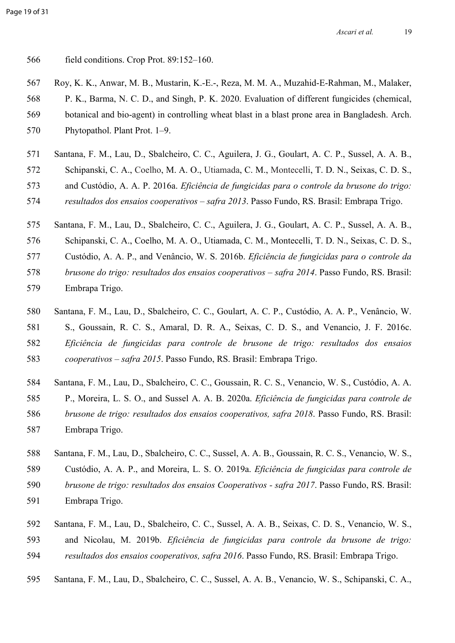- [field conditions. Crop Prot. 89:152–160.](https://www.zotero.org/google-docs/?tHn0zA)
- [Roy, K. K., Anwar, M. B., Mustarin, K.-E.-, Reza, M. M. A., Muzahid-E-Rahman, M., Malaker,](https://www.zotero.org/google-docs/?tHn0zA)
- [P. K., Barma, N. C. D., and Singh, P. K. 2020. Evaluation of different fungicides \(chemical,](https://www.zotero.org/google-docs/?tHn0zA)   [botanical and bio-agent\) in controlling wheat blast in a blast prone area in Bangladesh. Arch.](https://www.zotero.org/google-docs/?tHn0zA)   [Phytopathol. Plant Prot. 1–9.](https://www.zotero.org/google-docs/?tHn0zA)
- [Santana, F. M., Lau, D., Sbalcheiro, C. C., Aguilera, J. G., Goulart, A. C. P., Sussel, A. A. B.,](https://www.zotero.org/google-docs/?tHn0zA)
- [Schipanski, C. A., Coelho, M. A. O., Utiamada, C. M., Montecelli, T. D. N., Seixas, C. D. S.,](https://www.zotero.org/google-docs/?tHn0zA)
- 573 and Custódio, A. A. P. 2016a. *[Eficiência de fungicidas para o controle da brusone do trigo:](https://www.zotero.org/google-docs/?tHn0zA)*
- *[resultados dos ensaios cooperativos safra 2013](https://www.zotero.org/google-docs/?tHn0zA)*. Passo Fundo, RS. Brasil: Embrapa Trigo.
- [Santana, F. M., Lau, D., Sbalcheiro, C. C., Aguilera, J. G., Goulart, A. C. P., Sussel, A. A. B.,](https://www.zotero.org/google-docs/?tHn0zA)
- [Schipanski, C. A., Coelho, M. A. O., Utiamada, C. M., Montecelli, T. D. N., Seixas, C. D. S.,](https://www.zotero.org/google-docs/?tHn0zA)
- [Custódio, A. A. P., and Venâncio, W. S. 2016b.](https://www.zotero.org/google-docs/?tHn0zA) *Eficiência de fungicidas para o controle da*
- *[brusone do trigo: resultados dos ensaios cooperativos safra 2014](https://www.zotero.org/google-docs/?tHn0zA)*. Passo Fundo, RS. Brasil:
- [Embrapa Trigo.](https://www.zotero.org/google-docs/?tHn0zA)
- [Santana, F. M., Lau, D., Sbalcheiro, C. C., Goulart, A. C. P., Custódio, A. A. P., Venâncio, W.](https://www.zotero.org/google-docs/?tHn0zA)  581 S., Goussain, R. C. S., Amaral, D. R. A., Seixas, C. D. S., and Venancio, J. F. 2016c. *[Eficiência de fungicidas para controle de brusone de trigo: resultados dos ensaios](https://www.zotero.org/google-docs/?tHn0zA)  cooperativos – safra 2015*[. Passo Fundo, RS. Brasil: Embrapa Trigo.](https://www.zotero.org/google-docs/?tHn0zA)
- [Santana, F. M., Lau, D., Sbalcheiro, C. C., Goussain, R. C. S., Venancio, W. S., Custódio, A. A.](https://www.zotero.org/google-docs/?tHn0zA)   [P., Moreira, L. S. O., and Sussel A. A. B. 2020a.](https://www.zotero.org/google-docs/?tHn0zA) *Eficiência de fungicidas para controle de [brusone de trigo: resultados dos ensaios cooperativos, safra 2018](https://www.zotero.org/google-docs/?tHn0zA)*. Passo Fundo, RS. Brasil:  [Embrapa Trigo.](https://www.zotero.org/google-docs/?tHn0zA)
- [Santana, F. M., Lau, D., Sbalcheiro, C. C., Sussel, A. A. B., Goussain, R. C. S., Venancio, W. S.,](https://www.zotero.org/google-docs/?tHn0zA)   [Custódio, A. A. P., and Moreira, L. S. O. 2019a.](https://www.zotero.org/google-docs/?tHn0zA) *Eficiência de fungicidas para controle de*
- *[brusone de trigo: resultados dos ensaios Cooperativos safra 2017](https://www.zotero.org/google-docs/?tHn0zA)*. Passo Fundo, RS. Brasil:
- [Embrapa Trigo.](https://www.zotero.org/google-docs/?tHn0zA)
- [Santana, F. M., Lau, D., Sbalcheiro, C. C., Sussel, A. A. B., Seixas, C. D. S., Venancio, W. S.,](https://www.zotero.org/google-docs/?tHn0zA)  593 and Nicolau, M. 2019b. *[Eficiência de fungicidas para controle da brusone de trigo:](https://www.zotero.org/google-docs/?tHn0zA)  [resultados dos ensaios cooperativos, safra 2016](https://www.zotero.org/google-docs/?tHn0zA)*. Passo Fundo, RS. Brasil: Embrapa Trigo.
- [Santana, F. M., Lau, D., Sbalcheiro, C. C., Sussel, A. A. B., Venancio, W. S., Schipanski, C. A.,](https://www.zotero.org/google-docs/?tHn0zA)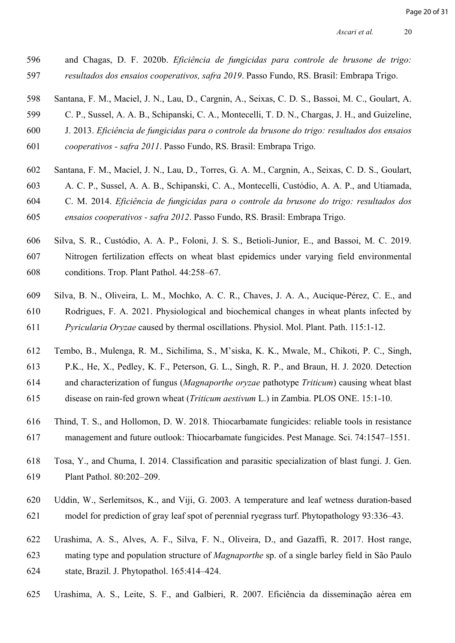- 596 and Chagas, D. F. 2020b. *[Eficiência de fungicidas para controle de brusone de trigo:](https://www.zotero.org/google-docs/?tHn0zA)*  597 *[resultados dos ensaios cooperativos, safra 2019](https://www.zotero.org/google-docs/?tHn0zA)*. Passo Fundo, RS. Brasil: Embrapa Trigo.
- 598 [Santana, F. M., Maciel, J. N., Lau, D., Cargnin, A., Seixas, C. D. S., Bassoi, M. C., Goulart, A.](https://www.zotero.org/google-docs/?tHn0zA)
- 599 [C. P., Sussel, A. A. B., Schipanski, C. A., Montecelli, T. D. N., Chargas, J. H., and Guizeline,](https://www.zotero.org/google-docs/?tHn0zA)
- 600 J. 2013. *[Eficiência de fungicidas para o controle da brusone do trigo: resultados dos ensaios](https://www.zotero.org/google-docs/?tHn0zA)*
- 601 *cooperativos safra 2011*[. Passo Fundo, RS. Brasil: Embrapa Trigo.](https://www.zotero.org/google-docs/?tHn0zA)
- 602 [Santana, F. M., Maciel, J. N., Lau, D., Torres, G. A. M., Cargnin, A., Seixas, C. D. S., Goulart,](https://www.zotero.org/google-docs/?tHn0zA)
- 603 [A. C. P., Sussel, A. A. B., Schipanski, C. A., Montecelli, Custódio, A. A. P., and Utiamada,](https://www.zotero.org/google-docs/?tHn0zA)
- 604 C. M. 2014. *[Eficiência de fungicidas para o controle da brusone do trigo: resultados dos](https://www.zotero.org/google-docs/?tHn0zA)*
- 605 *ensaios cooperativos safra 2012*[. Passo Fundo, RS. Brasil: Embrapa Trigo.](https://www.zotero.org/google-docs/?tHn0zA)
- 606 Silva, S. R., Custódio, A. A. P., Foloni, J. S. S., Betioli-Junior, E., and Bassoi, M. C. 2019. 607 Nitrogen fertilization effects on wheat blast epidemics under varying field environmental 608 conditions. Trop. Plant Pathol. 44:258–67.
- 609 Silva, B. N., Oliveira, L. M., Mochko, A. C. R., Chaves, J. A. A., Aucique-Pérez, C. E., and 610 Rodrigues, F. A. 2021. Physiological and biochemical changes in wheat plants infected by 611 *Pyricularia Oryzae* caused by thermal oscillations. Physiol. Mol. Plant. Path. 115:1-12.
- 612 [Tembo, B., Mulenga, R. M., Sichilima, S., M'siska, K. K., Mwale, M., Chikoti, P. C., Singh,](https://www.zotero.org/google-docs/?tHn0zA)
- 613 [P.K., He, X., Pedley, K. F., Peterson, G. L., Singh, R. P., and Braun, H. J. 2020. Detection](https://www.zotero.org/google-docs/?tHn0zA)
- 614 [and characterization of fungus \(](https://www.zotero.org/google-docs/?tHn0zA)*Magnaporthe oryzae* pathotype *Triticum*) causing wheat blast
- 615 disease on rain-fed grown wheat (*Triticum aestivum* [L.\) in Zambia. PLOS ONE. 15:1-10.](https://www.zotero.org/google-docs/?tHn0zA)
- 616 [Thind, T. S., and Hollomon, D. W. 2018. Thiocarbamate fungicides: reliable tools in resistance](https://www.zotero.org/google-docs/?tHn0zA)  617 [management and future outlook: Thiocarbamate fungicides. Pest Manage. Sci. 74:1547–1551.](https://www.zotero.org/google-docs/?tHn0zA)
- 618 [Tosa, Y., and Chuma, I. 2014. Classification and parasitic specialization of blast fungi. J. Gen.](https://www.zotero.org/google-docs/?tHn0zA)  619 [Plant Pathol. 80:202–209.](https://www.zotero.org/google-docs/?tHn0zA)
- 620 Uddin, W., Serlemitsos, K., and Viji, G. 2003. A temperature and leaf wetness duration-based 621 model for prediction of gray leaf spot of perennial ryegrass turf. Phytopathology 93:336–43.
- 622 [Urashima, A. S., Alves, A. F., Silva, F. N., Oliveira, D., and Gazaffi, R. 2017. Host range,](https://www.zotero.org/google-docs/?tHn0zA)  623 mating type and population structure of *Magnaporthe* [sp. of a single barley field in São Paulo](https://www.zotero.org/google-docs/?tHn0zA)  624 [state, Brazil. J. Phytopathol. 165:414–424.](https://www.zotero.org/google-docs/?tHn0zA)
- 625 [Urashima, A. S., Leite, S. F., and Galbieri, R. 2007. Eficiência da disseminação aérea em](https://www.zotero.org/google-docs/?tHn0zA)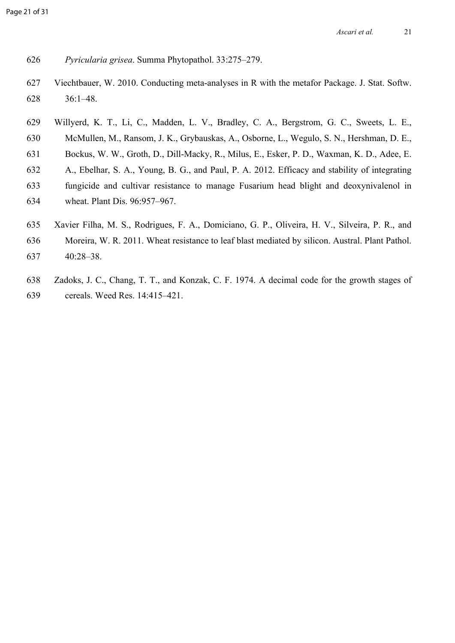- *Pyricularia grisea*[. Summa Phytopathol. 33:275–279.](https://www.zotero.org/google-docs/?tHn0zA)
- [Viechtbauer, W. 2010. Conducting meta-analyses in R with the metafor Package. J. Stat. Softw.](https://www.zotero.org/google-docs/?tHn0zA)   [36:1–48.](https://www.zotero.org/google-docs/?tHn0zA)
- [Willyerd, K. T., Li, C., Madden, L. V., Bradley, C. A., Bergstrom, G. C., Sweets, L. E.,](https://www.zotero.org/google-docs/?tHn0zA)   [McMullen, M., Ransom, J. K., Grybauskas, A., Osborne, L., Wegulo, S. N., Hershman, D. E.,](https://www.zotero.org/google-docs/?tHn0zA)   [Bockus, W. W., Groth, D., Dill-Macky, R., Milus, E., Esker, P. D., Waxman, K. D., Adee, E.](https://www.zotero.org/google-docs/?tHn0zA)   [A., Ebelhar, S. A., Young, B. G., and Paul, P. A. 2012. Efficacy and stability of integrating](https://www.zotero.org/google-docs/?tHn0zA)   [fungicide and cultivar resistance to manage Fusarium head blight and deoxynivalenol in](https://www.zotero.org/google-docs/?tHn0zA)   [wheat. Plant Dis. 96:957–967.](https://www.zotero.org/google-docs/?tHn0zA)
- 635 Xavier Filha, M. S., Rodrigues, F. A., Domiciano, G. P., Oliveira, H. V., Silveira, P. R., and
- 636 Moreira, W. R. 2011. Wheat resistance to leaf blast mediated by silicon. Austral. Plant Pathol.
- 637 40:28–38.
- [Zadoks, J. C., Chang, T. T., and Konzak, C. F. 1974. A decimal code for the growth stages of](https://www.zotero.org/google-docs/?tHn0zA)   [cereals. Weed Res. 14:415–421.](https://www.zotero.org/google-docs/?tHn0zA)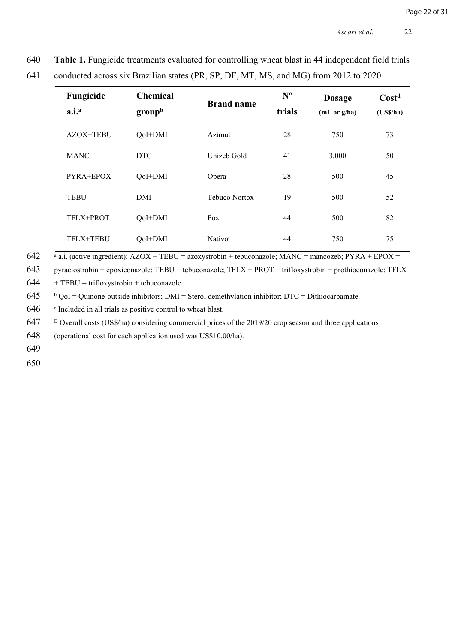| 640 |  | Table 1. Fungicide treatments evaluated for controlling wheat blast in 44 independent field trials |
|-----|--|----------------------------------------------------------------------------------------------------|
|     |  |                                                                                                    |

| Fungicide<br>a.i. <sup>a</sup> | <b>Chemical</b><br>group <sup>b</sup> | <b>Brand name</b>   | $N^{\text{o}}$<br>trials | <b>Dosage</b><br>(mL or g/ha) | Cost <sup>d</sup><br>$(US\frac{5}{ha})$ |
|--------------------------------|---------------------------------------|---------------------|--------------------------|-------------------------------|-----------------------------------------|
| AZOX+TEBU                      | QoI+DMI                               | Azimut              | 28                       | 750                           | 73                                      |
| <b>MANC</b>                    | <b>DTC</b>                            | Unizeb Gold         | 41                       | 3,000                         | 50                                      |
| PYRA+EPOX                      | QoI+DMI                               | Opera               | 28                       | 500                           | 45                                      |
| <b>TEBU</b>                    | DMI                                   | Tebuco Nortox       | 19                       | 500                           | 52                                      |
| TFLX+PROT                      | QoI+DMI                               | Fox                 | 44                       | 500                           | 82                                      |
| TFLX+TEBU                      | QoI+DMI                               | Nativo <sup>c</sup> | 44                       | 750                           | 75                                      |

641 conducted across six Brazilian states (PR, SP, DF, MT, MS, and MG) from 2012 to 2020

642  $a$ .i. (active ingredient); AZOX + TEBU = azoxystrobin + tebuconazole; MANC = mancozeb; PYRA + EPOX =

643 pyraclostrobin + epoxiconazole; TEBU = tebuconazole; TFLX + PROT = trifloxystrobin + prothioconazole; TFLX

 $644$  + TEBU = trifloxystrobin + tebuconazole.

645 <sup>b</sup>  $b$  QoI = Quinone-outside inhibitors; DMI = Sterol demethylation inhibitor; DTC = Dithiocarbamate.

646 <sup>c</sup> Included in all trials as positive control to wheat blast.

647 <sup>D</sup> Overall costs (US\$/ha) considering commercial prices of the 2019/20 crop season and three applications

648 (operational cost for each application used was US\$10.00/ha).

649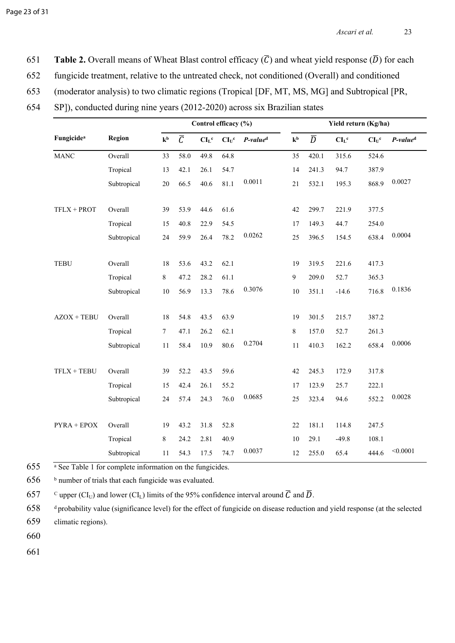**651 Table 2.** Overall means of Wheat Blast control efficacy  $(\overline{C})$  and wheat yield response  $(\overline{D})$  for each

- 652 fungicide treatment, relative to the untreated check, not conditioned (Overall) and conditioned
- 653 (moderator analysis) to two climatic regions (Tropical [DF, MT, MS, MG] and Subtropical [PR,
- 654 SP]), conducted during nine years (2012-2020) across six Brazilian states

|                        |             | Control efficacy (%) |                |                    | Yield return (Kg/ha) |                      |                |                |                    |          |                      |
|------------------------|-------------|----------------------|----------------|--------------------|----------------------|----------------------|----------------|----------------|--------------------|----------|----------------------|
| Fungicide <sup>a</sup> | Region      | k <sub>b</sub>       | $\overline{C}$ | $CIL$ <sup>c</sup> | $CI_U^c$             | P-value <sup>d</sup> | k <sub>b</sub> | $\overline{D}$ | $CIL$ <sup>c</sup> | $CI_U^c$ | P-value <sup>d</sup> |
| <b>MANC</b>            | Overall     | 33                   | 58.0           | 49.8               | 64.8                 |                      | 35             | 420.1          | 315.6              | 524.6    |                      |
|                        | Tropical    | 13                   | 42.1           | 26.1               | 54.7                 |                      | 14             | 241.3          | 94.7               | 387.9    |                      |
|                        | Subtropical | 20                   | 66.5           | 40.6               | 81.1                 | 0.0011               | 21             | 532.1          | 195.3              | 868.9    | 0.0027               |
| TFLX + PROT            | Overall     | 39                   | 53.9           | 44.6               | 61.6                 |                      | 42             | 299.7          | 221.9              | 377.5    |                      |
|                        | Tropical    | 15                   | 40.8           | 22.9               | 54.5                 |                      | 17             | 149.3          | 44.7               | 254.0    |                      |
|                        | Subtropical | 24                   | 59.9           | 26.4               | 78.2                 | 0.0262               | 25             | 396.5          | 154.5              | 638.4    | 0.0004               |
| <b>TEBU</b>            | Overall     | 18                   | 53.6           | 43.2               | 62.1                 |                      | 19             | 319.5          | 221.6              | 417.3    |                      |
|                        | Tropical    | $\,8\,$              | 47.2           | 28.2               | 61.1                 |                      | 9              | 209.0          | 52.7               | 365.3    |                      |
|                        | Subtropical | $10\,$               | 56.9           | 13.3               | 78.6                 | 0.3076               | 10             | 351.1          | $-14.6$            | 716.8    | 0.1836               |
| $AZOX + TEBU$          | Overall     | 18                   | 54.8           | 43.5               | 63.9                 |                      | 19             | 301.5          | 215.7              | 387.2    |                      |
|                        | Tropical    | $7\phantom{.0}$      | 47.1           | 26.2               | 62.1                 |                      | 8              | 157.0          | 52.7               | 261.3    |                      |
|                        | Subtropical | 11                   | 58.4           | 10.9               | 80.6                 | 0.2704               | 11             | 410.3          | 162.2              | 658.4    | 0.0006               |
| $TFLX + TEBU$          | Overall     | 39                   | 52.2           | 43.5               | 59.6                 |                      | 42             | 245.3          | 172.9              | 317.8    |                      |
|                        | Tropical    | 15                   | 42.4           | 26.1               | 55.2                 |                      | 17             | 123.9          | 25.7               | 222.1    |                      |
|                        | Subtropical | 24                   | 57.4           | 24.3               | 76.0                 | 0.0685               | 25             | 323.4          | 94.6               | 552.2    | 0.0028               |
| $PYRA + EPOX$          | Overall     | 19                   | 43.2           | 31.8               | 52.8                 |                      | 22             | 181.1          | 114.8              | 247.5    |                      |
|                        | Tropical    | $\,8\,$              | 24.2           | 2.81               | 40.9                 |                      | 10             | 29.1           | $-49.8$            | 108.1    |                      |
|                        | Subtropical | 11                   | 54.3           | 17.5               | 74.7                 | 0.0037               | 12             | 255.0          | 65.4               | 444.6    | < 0.0001             |

655 <sup>a</sup> See Table 1 for complete information on the fungicides.

656 **b** number of trials that each fungicide was evaluated.

657 C upper (CI<sub>U</sub>) and lower (CI<sub>L</sub>) limits of the 95% confidence interval around  $\overline{C}$  and  $\overline{D}$ .

658 <sup>d</sup>probability value (significance level) for the effect of fungicide on disease reduction and yield response (at the selected

659 climatic regions).

660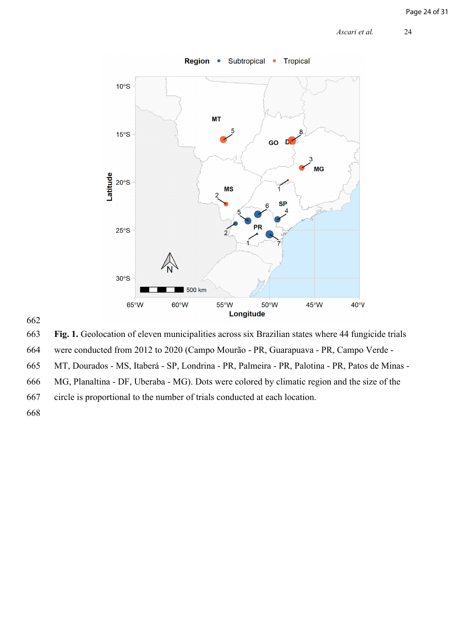

# 662

663 **Fig. 1.** Geolocation of eleven municipalities across six Brazilian states where 44 fungicide trials

664 were conducted from 2012 to 2020 (Campo Mourão - PR, Guarapuava - PR, Campo Verde -

665 MT, Dourados - MS, Itaberá - SP, Londrina - PR, Palmeira - PR, Palotina - PR, Patos de Minas -

666 MG, Planaltina - DF, Uberaba - MG). Dots were colored by climatic region and the size of the

667 circle is proportional to the number of trials conducted at each location.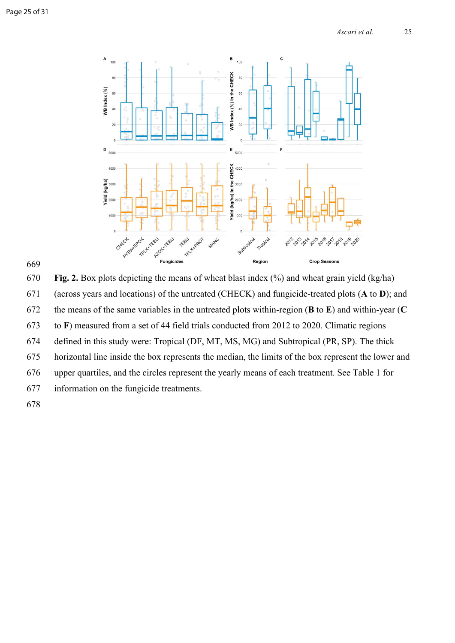



670 **Fig. 2.** Box plots depicting the means of wheat blast index (%) and wheat grain yield (kg/ha) 671 (across years and locations) of the untreated (CHECK) and fungicide-treated plots (**A** to **D**); and 672 the means of the same variables in the untreated plots within-region (**B** to **E**) and within-year (**C** 673 to **F**) measured from a set of 44 field trials conducted from 2012 to 2020. Climatic regions 674 defined in this study were: Tropical (DF, MT, MS, MG) and Subtropical (PR, SP). The thick 675 horizontal line inside the box represents the median, the limits of the box represent the lower and 676 upper quartiles, and the circles represent the yearly means of each treatment. See Table 1 for 677 information on the fungicide treatments. 678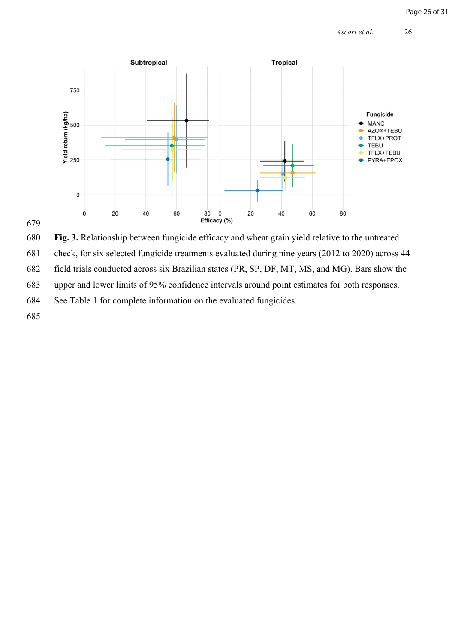



680 **Fig. 3.** Relationship between fungicide efficacy and wheat grain yield relative to the untreated

681 check, for six selected fungicide treatments evaluated during nine years (2012 to 2020) across 44

682 field trials conducted across six Brazilian states (PR, SP, DF, MT, MS, and MG). Bars show the

683 upper and lower limits of 95% confidence intervals around point estimates for both responses.

684 See Table 1 for complete information on the evaluated fungicides.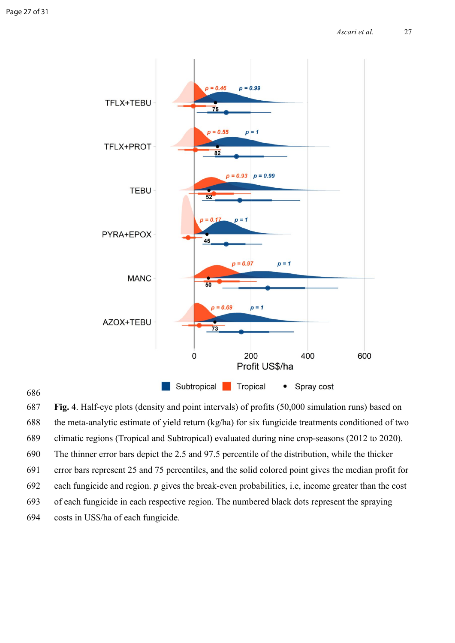

686

687 **Fig. 4**. Half-eye plots (density and point intervals) of profits (50,000 simulation runs) based on 688 the meta-analytic estimate of yield return (kg/ha) for six fungicide treatments conditioned of two 689 climatic regions (Tropical and Subtropical) evaluated during nine crop-seasons (2012 to 2020). 690 The thinner error bars depict the 2.5 and 97.5 percentile of the distribution, while the thicker 691 error bars represent 25 and 75 percentiles, and the solid colored point gives the median profit for 692 each fungicide and region.  $p$  gives the break-even probabilities, i.e, income greater than the cost 693 of each fungicide in each respective region. The numbered black dots represent the spraying 694 costs in US\$/ha of each fungicide.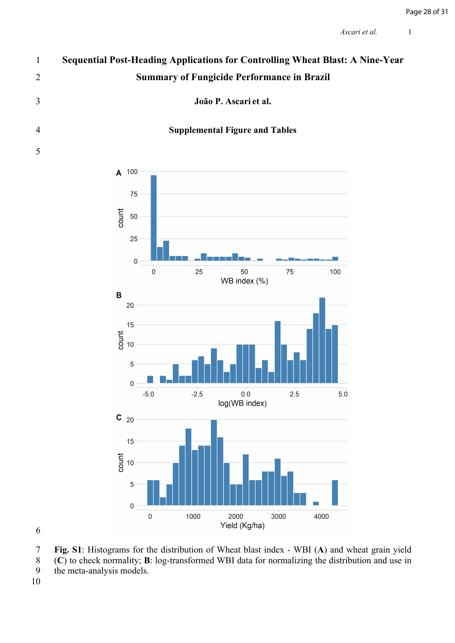# **Sequential Post-Heading Applications for Controlling Wheat Blast: A Nine-Year Summary of Fungicide Performance in Brazil**

**João P. Ascari et al.**

# **Supplemental Figure and Tables**



 **Fig. S1**: Histograms for the distribution of Wheat blast index - WBI (**A**) and wheat grain yield 8 (**C**) to check normality; **B**: log-transformed WBI data for normalizing the distribution and use in the meta-analysis models.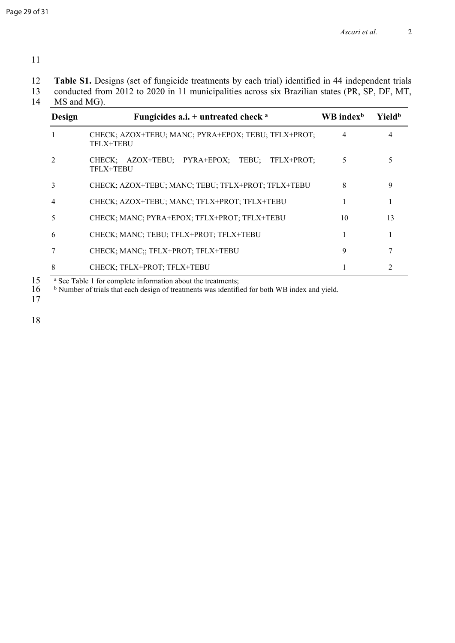11

12 **Table S1.** Designs (set of fungicide treatments by each trial) identified in 44 independent trials

13 conducted from 2012 to 2020 in 11 municipalities across six Brazilian states (PR, SP, DF, MT, 14 MS and MG).

| Design         | Fungicides a.i. $+$ untreated check $a$                          | $\mathbf{W}\mathbf{B}$ index <sup>b</sup> | Yield <sup>b</sup> |
|----------------|------------------------------------------------------------------|-------------------------------------------|--------------------|
|                | CHECK; AZOX+TEBU; MANC; PYRA+EPOX; TEBU; TFLX+PROT;<br>TFLX+TEBU | 4                                         |                    |
| $\overline{2}$ | CHECK; AZOX+TEBU; PYRA+EPOX; TEBU; TFLX+PROT;<br>TFLX+TEBU       | 5                                         |                    |
| 3              | CHECK; AZOX+TEBU; MANC; TEBU; TFLX+PROT; TFLX+TEBU               | 8                                         | 9                  |
| 4              | CHECK; AZOX+TEBU; MANC; TFLX+PROT; TFLX+TEBU                     |                                           |                    |
| 5              | CHECK; MANC; PYRA+EPOX; TFLX+PROT; TFLX+TEBU                     | 10                                        | 13                 |
| 6              | CHECK; MANC; TEBU; TFLX+PROT; TFLX+TEBU                          |                                           |                    |
| 7              | CHECK; MANC;; TFLX+PROT; TFLX+TEBU                               | 9                                         |                    |
| 8              | CHECK; TFLX+PROT; TFLX+TEBU                                      |                                           |                    |

 $15$  a See Table 1 for complete information about the treatments;

 $16 - b$ Number of trials that each design of treatments was identified for both WB index and yield.

17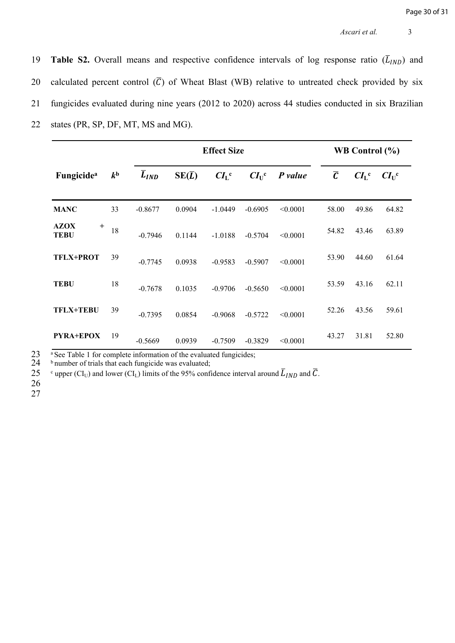19 **Table S2.** Overall means and respective confidence intervals of log response ratio  $(\overline{L}_{IND})$  and 20 calculated percent control  $(\overline{C})$  of Wheat Blast (WB) relative to untreated check provided by six 21 fungicides evaluated during nine years (2012 to 2020) across 44 studies conducted in six Brazilian 22 states (PR, SP, DF, MT, MS and MG).

|                               |                |                      | <b>Effect Size</b> |                 | WB Control $(\% )$ |          |           |                 |                |
|-------------------------------|----------------|----------------------|--------------------|-----------------|--------------------|----------|-----------|-----------------|----------------|
| <b>Fungicide</b> <sup>a</sup> | k <sup>b</sup> | $\overline{L}_{IND}$ | $SE(\overline{L})$ | CI <sub>L</sub> | $CI_{U}^{\ \ c}$   | P value  | $\bar{c}$ | CI <sub>L</sub> | $CI_{U}^{\ c}$ |
| <b>MANC</b>                   | 33             | $-0.8677$            | 0.0904             | $-1.0449$       | $-0.6905$          | < 0.0001 | 58.00     | 49.86           | 64.82          |
| <b>AZOX</b><br>$^{+}$<br>TEBU | 18             | $-0.7946$            | 0.1144             | $-1.0188$       | $-0.5704$          | < 0.0001 | 54.82     | 43.46           | 63.89          |
| <b>TFLX+PROT</b>              | 39             | $-0.7745$            | 0.0938             | $-0.9583$       | $-0.5907$          | < 0.0001 | 53.90     | 44.60           | 61.64          |
| <b>TEBU</b>                   | 18             | $-0.7678$            | 0.1035             | $-0.9706$       | $-0.5650$          | < 0.0001 | 53.59     | 43.16           | 62.11          |
| <b>TFLX+TEBU</b>              | 39             | $-0.7395$            | 0.0854             | $-0.9068$       | $-0.5722$          | < 0.0001 | 52.26     | 43.56           | 59.61          |
| PYRA+EPOX                     | 19             | $-0.5669$            | 0.0939             | $-0.7509$       | $-0.3829$          | < 0.0001 | 43.27     | 31.81           | 52.80          |

23 aSee Table 1 for complete information of the evaluated fungicides;<br>24 b number of trials that each fungicide was evaluated;

<sup>b</sup> number of trials that each fungicide was evaluated;

**25** <sup>c</sup> upper (CI<sub>U</sub>) and lower (CI<sub>L</sub>) limits of the 95% confidence interval around  $\overline{L}_{IND}$  and  $\overline{C}$ .